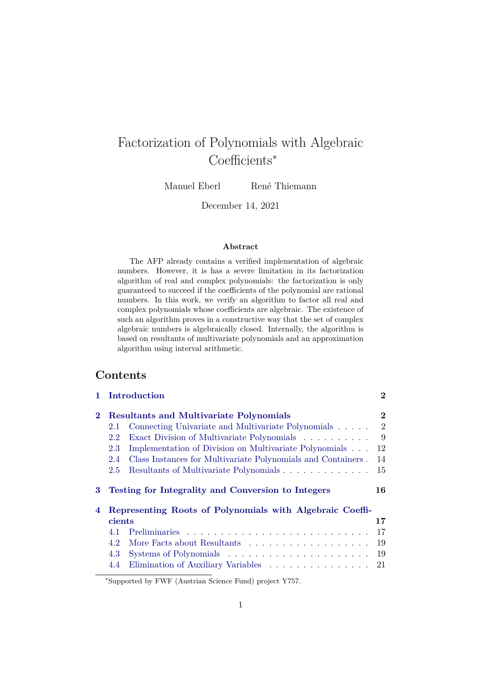# Factorization of Polynomials with Algebraic Coefficients<sup>∗</sup>

Manuel Eberl René Thiemann

December 14, 2021

#### **Abstract**

The AFP already contains a verified implementation of algebraic numbers. However, it is has a severe limitation in its factorization algorithm of real and complex polynomials: the factorization is only guaranteed to succeed if the coefficients of the polynomial are rational numbers. In this work, we verify an algorithm to factor all real and complex polynomials whose coefficients are algebraic. The existence of such an algorithm proves in a constructive way that the set of complex algebraic numbers is algebraically closed. Internally, the algorithm is based on resultants of multivariate polynomials and an approximation algorithm using interval arithmetic.

## **Contents**

|          | Introduction                                                        | $\bf{2}$       |
|----------|---------------------------------------------------------------------|----------------|
| $\bf{2}$ | <b>Resultants and Multivariate Polynomials</b>                      | $\bf{2}$       |
|          | Connecting Univariate and Multivariate Polynomials<br>2.1           | $\overline{2}$ |
|          | Exact Division of Multivariate Polynomials<br>2.2                   | 9              |
|          | Implementation of Division on Multivariate Polynomials<br>2.3       | 12             |
|          | Class Instances for Multivariate Polynomials and Containers.<br>2.4 | 14             |
|          | Resultants of Multivariate Polynomials<br>2.5                       | 15             |
|          |                                                                     |                |
| 3        | Testing for Integrality and Conversion to Integers                  | 16             |
| 4        | Representing Roots of Polynomials with Algebraic Coeffi-            |                |
|          | cients                                                              | 17             |
|          | 4.1                                                                 | 17             |
|          | 4.2                                                                 | 19             |
|          | 4.3                                                                 | 19             |

<sup>∗</sup>Supported by FWF (Austrian Science Fund) project Y757.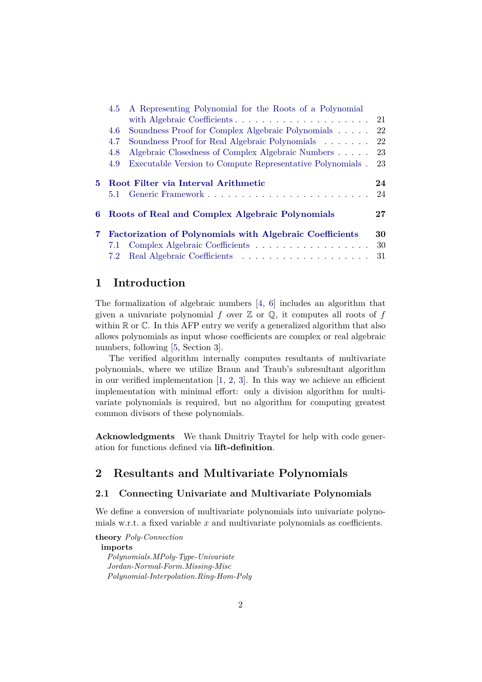|    | 4.5 | A Representing Polynomial for the Roots of a Polynomial         |        |
|----|-----|-----------------------------------------------------------------|--------|
|    |     |                                                                 | 21     |
|    | 4.6 | Soundness Proof for Complex Algebraic Polynomials               | 22     |
|    | 4.7 | Soundness Proof for Real Algebraic Polynomials                  | 22     |
|    | 4.8 | Algebraic Closedness of Complex Algebraic Numbers               | 23     |
|    | 4.9 | Executable Version to Compute Representative Polynomials.       | 23     |
|    |     |                                                                 |        |
| 5. |     | Root Filter via Interval Arithmetic                             | 24     |
|    |     |                                                                 |        |
|    | 5.1 |                                                                 | 24     |
| 6  |     | Roots of Real and Complex Algebraic Polynomials                 | $27\,$ |
| 7. |     | <b>Factorization of Polynomials with Algebraic Coefficients</b> | 30     |
|    | 7.1 | Complex Algebraic Coefficients                                  | 30     |
|    | 7.2 |                                                                 | 31     |

## <span id="page-1-0"></span>**1 Introduction**

The formalization of algebraic numbers  $\begin{bmatrix} 4, 6 \end{bmatrix}$  includes an algorithm that given a univariate polynomial f over  $\mathbb Z$  or  $\mathbb Q$ , it computes all roots of f within  $\mathbb R$  or  $\mathbb C$ . In this AFP entry we verify a generalized algorithm that also allows polynomials as input whose coefficients are complex or real algebraic numbers, following [\[5,](#page-31-1) Section 3].

The verified algorithm internally computes resultants of multivariate polynomials, where we utilize Braun and Traub's subresultant algorithm in our verified implementation  $[1, 2, 3]$  $[1, 2, 3]$  $[1, 2, 3]$  $[1, 2, 3]$ . In this way we achieve an efficient implementation with minimal effort: only a division algorithm for multivariate polynomials is required, but no algorithm for computing greatest common divisors of these polynomials.

**Acknowledgments** We thank Dmitriy Traytel for help with code generation for functions defined via **lift-definition**.

# <span id="page-1-1"></span>**2 Resultants and Multivariate Polynomials**

## <span id="page-1-2"></span>**2.1 Connecting Univariate and Multivariate Polynomials**

We define a conversion of multivariate polynomials into univariate polynomials w.r.t. a fixed variable x and multivariate polynomials as coefficients.

**theory** *Poly-Connection* **imports** *Polynomials*.*MPoly-Type-Univariate Jordan-Normal-Form*.*Missing-Misc Polynomial-Interpolation*.*Ring-Hom-Poly*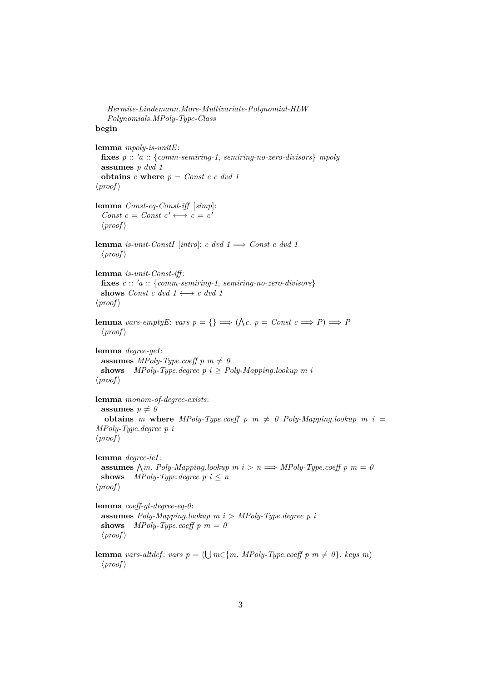```
Hermite-Lindemann.More-Multivariate-Polynomial-HLW
   Polynomials.MPoly-Type-Class
begin
lemma mpoly-is-unitE:
 fixes p :: 'a :: {comm-semiring-1, semiring-no-zero-divisors} mpoly
 assumes p dvd 1
 obtains c where p = Const c c dvd 1\langle proof \ranglelemma Const-eq-Const-iff [simp]:
  Const c = Const c' \longleftrightarrow c = c'
  \langle proof \ranglelemma is-unit-ConstI [intro]: c dvd 1 \implies Const c dvd 1
  \langle proof \ranglelemma is-unit-Const-iff :
 fixes c :: 'a :: {comm-semiring-1, semiring-no-zero-divisors}shows Const c dvd 1 \leftrightarrow c dvd 1\langle proof \ranglelemma vars-emptyE: vars p = \{\} \implies (\bigwedge c. p = Const \ c \implies P) \implies P\langle proof \ranglelemma degree-geI:
 assumes MPoly-Type.coeff p m \neq 0shows MPoly-Type.degree p i ≥ Poly-Mapping.lookup m i
\langle proof \ranglelemma monom-of-degree-exists:
 assumes p \neq 0obtains m where MPoly-Type.coeff p m \neq 0 Poly-Mapping.lookup m i =MPoly-Type.degree p i
\langle proof \ranglelemma degree-leI:
  assumes \bigwedge m. Poly-Mapping.lookup m i > n \implies MPoly-Type.coeff p m = 0shows MPoly-Type.degree p i \leq n\langle proof \ranglelemma coeff-gt-degree-eq-0:
 assumes Poly-Mapping.lookup m i > MPoly-Type.degree p i
 shows MPoly-Type.coeff p m = 0
 \langle proof \ranglelemma vars-altdef: vars p = (\bigcup m \in \{m. \; MPoly-Type.coeff \; p \; m \neq 0\}. keys m)
  \langle proof \rangle
```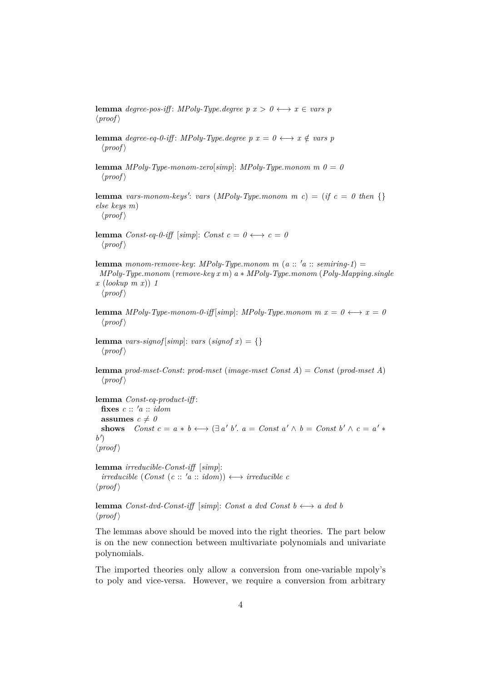**lemma** *degree-pos-iff*: *MPoly-Type.degree p x > 0*  $\longleftrightarrow$  *x*  $\in$  *vars p*  $\langle proof \rangle$ 

**lemma** *degree-eq-0-iff*: *MPoly-Type.degree p x = 0*  $\longleftrightarrow$  *x*  $\notin$  *vars p*  $\langle proof \rangle$ 

**lemma** *MPoly-Type-monom-zero*[*simp*]: *MPoly-Type.monom m*  $0 = 0$  $\langle proof \rangle$ 

**lemma** vars-monom-keys': vars (MPoly-Type.monom m c) = (*if*  $c = 0$  then {} *else keys m*)  $\langle proof \rangle$ 

**lemma** *Const-eq-0-iff* [*simp*]: *Const c* =  $0 \leftrightarrow c = 0$  $\langle proof \rangle$ 

**lemma** monom-remove-key: MPoly-Type.monom m (a :: 'a :: semiring-1) = *MPoly-Type*.*monom* (*remove-key x m*) *a* ∗ *MPoly-Type*.*monom* (*Poly-Mapping*.*single x* (*lookup m x*)) *1*

 $\langle proof \rangle$ 

**lemma** *MPoly-Type-monom-0-iff* [ $simpl$ : *MPoly-Type.monom m x* =  $0 \leftrightarrow x = 0$  $\langle proof \rangle$ 

**lemma** *vars-signof* [*simp*]: *vars* (*signof*  $x$ ) = {}  $\langle proof \rangle$ 

**lemma** *prod-mset-Const*: *prod-mset* (*image-mset Const A*) = *Const* (*prod-mset A*)  $\langle proof \rangle$ 

**lemma** *Const-eq-product-iff* : fixes  $c :: 'a :: idom$ **assumes**  $c \neq 0$ **shows**  $Const\ c = a * b \longleftrightarrow (\exists a' b'.\ a = Const\ a' \land b = Const\ b' \land c = a' *$  $b'$  $\langle proof \rangle$ 

**lemma** *irreducible-Const-iff* [*simp*]:  $irreducible (Const (c :: 'a :: idom)) \longleftrightarrow irreducible c$  $\langle proof \rangle$ 

**lemma**  $Const-dvd-Const-iff$  [ $simp$ ]: *Const a dvd Const b* ←→ *a dvd b*  $\langle proof \rangle$ 

The lemmas above should be moved into the right theories. The part below is on the new connection between multivariate polynomials and univariate polynomials.

The imported theories only allow a conversion from one-variable mpoly's to poly and vice-versa. However, we require a conversion from arbitrary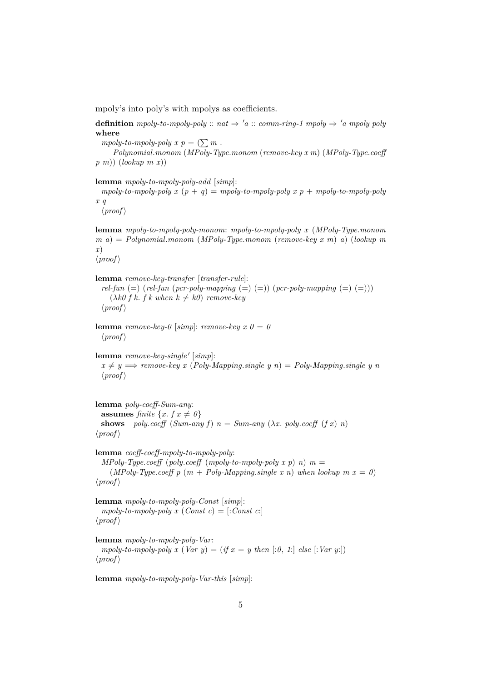mpoly's into poly's with mpolys as coefficients.

**definition** *mpoly-to-mpoly-poly* ::  $nat \Rightarrow 'a$  :: *comm-ring-1 mpoly*  $\Rightarrow 'a$  *mpoly poly* **where**

*mpoly-to-mpoly-poly x p* =  $(\sum m$ .

*Polynomial*.*monom* (*MPoly-Type*.*monom* (*remove-key x m*) (*MPoly-Type*.*coeff p m*)) (*lookup m x*))

**lemma** *mpoly-to-mpoly-poly-add* [*simp*]:

*mpoly-to-mpoly-poly x* (*p* + *q*) = *mpoly-to-mpoly-poly x p* + *mpoly-to-mpoly-poly x q*

 $\langle proof \rangle$ 

**lemma** *mpoly-to-mpoly-poly-monom*: *mpoly-to-mpoly-poly x* (*MPoly-Type*.*monom m a*) = *Polynomial*.*monom* (*MPoly-Type*.*monom* (*remove-key x m*) *a*) (*lookup m x*)

 $\langle proof \rangle$ 

**lemma** *remove-key-transfer* [*transfer-rule*]: *rel-fun* (=) (*rel-fun* (*pcr-poly-mapping* (=) (=)) (*pcr-poly-mapping* (=) (=)))  $(\lambda k0 f k. f k when k \neq k0)$  *remove-key*  $\langle proof \rangle$ 

**lemma** *remove-key-0* [*simp*]: *remove-key x 0* = 0  $\langle proof \rangle$ 

lemma *remove-key-single'* [simp]:  $x \neq y \Longrightarrow$  *remove-key x* (*Poly-Mapping.single y n*) = *Poly-Mapping.single y n*  $\langle proof \rangle$ 

**lemma** *poly-coeff-Sum-any*: **assumes** *finite*  $\{x, f\ x \neq 0\}$ **shows** *poly.coeff* (*Sum-any f*)  $n = Sum-any$  ( $\lambda x$ . *poly.coeff* (*f x*) *n*)  $\langle proof \rangle$ 

**lemma** *coeff-coeff-mpoly-to-mpoly-poly*: *MPoly-Type.coeff* (*poly.coeff* (*mpoly-to-mpoly-poly x p*) *n*)  $m =$ (*MPoly-Type.coeff p* ( $m + Poly-Mapping.size x n$ ) when lookup  $m x = 0$ )  $\langle proof \rangle$ 

**lemma** *mpoly-to-mpoly-poly-Const* [*simp*]: *mpoly-to-mpoly-poly x*  $(Const c) = [:Const c:]$  $\langle proof \rangle$ 

**lemma** *mpoly-to-mpoly-poly-Var*: *mpoly-to-mpoly-poly x* (*Var y*) = (*if x* = *y* then [:0, 1:] else [:*Var y*:])  $\langle proof \rangle$ 

**lemma** *mpoly-to-mpoly-poly-Var-this* [*simp*]: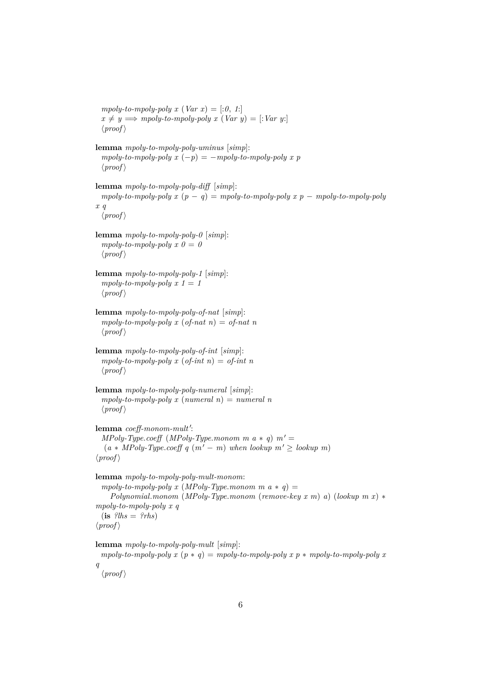```
mpoly-to-mpoly-poly x (Var x) = [:0, 1:]
 x \neq y \Longrightarrow \text{mpoly-to-mpoly-poly x } (Var y) = [:Var y:]\langle proof \ranglelemma mpoly-to-mpoly-poly-uminus [simp]:
  mpoly-to-mpoly-poly x (-p) = -mpoly-to-mpoly-poly x p\langle proof \ranglelemma mpoly-to-mpoly-poly-diff [simp]:
 mpoly-to-mpoly-poly x (p-q) = mpoly-to-mpoly-poly x p - mpoly-to-mpoly-poly-polyx q
  \langle proof \ranglelemma mpoly-to-mpoly-poly-0 [simp]:
  mpoly-to-mpoly-poly \; x \; 0 = 0\langle proof \ranglelemma mpoly-to-mpoly-poly-1 [simp]:
  mpoly-to-mpoly-poly x 1 = 1\langle proof \ranglelemma mpoly-to-mpoly-poly-of-nat [simp]:
  mpoly-to-mpoly-poly x (of-nat n) = of-nat n
  \langle proof \ranglelemma mpoly-to-mpoly-poly-of-int [simp]:
  mpoly-to-mpoly-poly x (of-int n) = of-int n\langle proof \ranglelemma mpoly-to-mpoly-poly-numeral [simp]:
  mpoly-to-mpoly-poly x (numeral n) = numeral n\langle proof \ranglelemma coeff-monom-mult':
  MPoly-Type.coeff (MPoly-Type.monom m a * q) m' =(a * MPoly-Type.coeff q (m' – m) when lookup m' \geq lookup m\langle proof \ranglelemma mpoly-to-mpoly-poly-mult-monom:
  mpoly-to-mpoly-poly x (MPoly-Type.monom \t m \t a * q) =Polynomial.monom (MPoly-Type.monom (remove-key x m) a) (lookup m x) ∗
mpoly-to-mpoly-poly x q
 (i\mathbf{s} ?lhs = ?rhs\langle proof \ranglelemma mpoly-to-mpoly-poly-mult [simp]:
 mpoly-to-mpoly-poly x (p * q) = mpoly-to-mpoly-poly x p * mpoly-to-mpoly-poly xq
```

```
\langle proof \rangle
```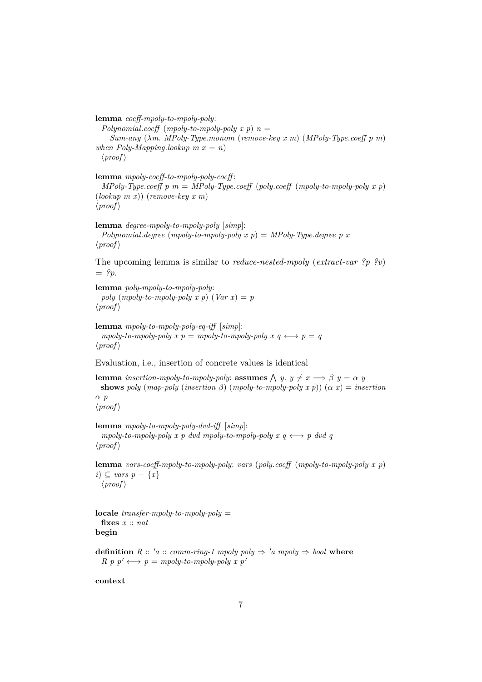**lemma** *coeff-mpoly-to-mpoly-poly*: *Polynomial.coeff* (*mpoly-to-mpoly-poly x p*)  $n =$ *Sum-any* (λ*m*. *MPoly-Type*.*monom* (*remove-key x m*) (*MPoly-Type*.*coeff p m*) *when Poly-Mapping.lookup m*  $x = n$ )  $\langle proof \rangle$ 

**lemma** *mpoly-coeff-to-mpoly-poly-coeff* : *MPoly-Type.coeff*  $p$   $m = MPoly-Type.coeff$  ( $poly.coeff$  ( $mpoly-to-mpoly-poly x p$ ) (*lookup m x*)) (*remove-key x m*)  $\langle proof \rangle$ 

**lemma** *degree-mpoly-to-mpoly-poly* [*simp*]: *Polynomial.degree* (*mpoly-to-mpoly-poly x p*) = *MPoly-Type.degree p x*  $\langle proof \rangle$ 

The upcoming lemma is similar to *reduce-nested-mpoly* (*extract-var ?p ?v*)  $=$  ?*p*.

```
lemma poly-mpoly-to-mpoly-poly:
 poly (mpoly-to-mpoly-poly x p) (Var x) = p\langle proof \rangle
```

```
lemma mpoly-to-mpoly-poly-eq-iff [simp]:
  mpoly-to-mpoly-poly x p = mpoly-to-mpoly-poly x q \leftrightarrow p = q\langle proof \rangle
```
Evaluation, i.e., insertion of concrete values is identical

**lemma** *insertion-mpoly-to-mpoly-poly:* **assumes**  $\bigwedge y$ .  $y \neq x \implies \beta$   $y = \alpha$  *y* **shows** *poly* (*map-poly* (*insertion*  $\beta$ ) (*mpoly-to-mpoly-poly*  $x$   $p$ )) ( $\alpha$   $x$ ) = *insertion* α *p*  $\langle proof \rangle$ 

**lemma** *mpoly-to-mpoly-poly-dvd-iff* [*simp*]:  $mpoly-to-mpoly-poly x p dvd mpoly-to-mpoly-poly x q \leftrightarrow p dvd q$  $\langle proof \rangle$ 

**lemma** *vars-coeff-mpoly-to-mpoly-poly*: *vars* (*poly*.*coeff* (*mpoly-to-mpoly-poly x p*) *i*) ⊂ *vars*  $p - \{x\}$  $\langle proof \rangle$ 

**locale** *transfer-mpoly-to-mpoly-poly* = **fixes** *x* :: *nat* **begin**

**definition**  $R :: 'a :: comm-ring-1 \text{ m} poly poly \Rightarrow 'a \text{ m} poly \Rightarrow bool$  where  $R \, p \, p' \longleftrightarrow p = m \text{poly-to-mpoly-poly } x \, p'$ 

**context**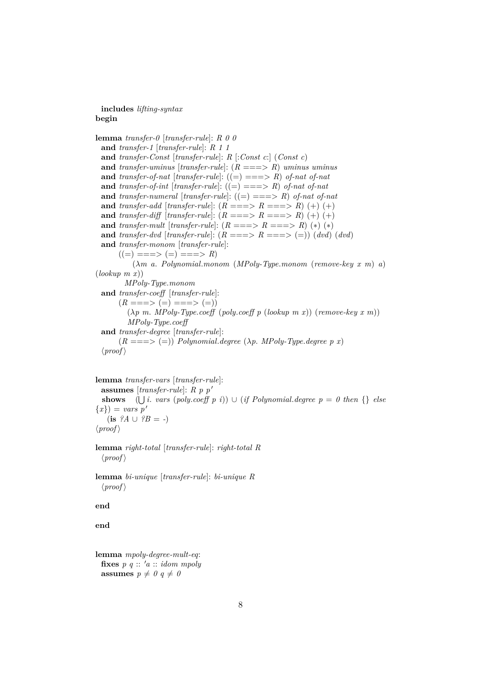#### **includes** *lifting-syntax* **begin**

**lemma** *transfer-0* [*transfer-rule*]: *R 0 0* **and** *transfer-1* [*transfer-rule*]: *R 1 1* **and** *transfer-Const* [*transfer-rule*]: *R* [:*Const c*:] (*Const c*) **and** *transfer-uminus* [*transfer-rule*]: (*R* ===> *R*) *uminus uminus* **and** *transfer-of-nat* [*transfer-rule*]:  $((=) == > R)$  *of-nat of-nat* **and** *transfer-of-int* [*transfer-rule*]:  $((=) == > R)$  *of-nat of-nat* **and** *transfer-numeral* [*transfer-rule*]:  $((=) == > R)$  *of-nat of-nat* **and** *transfer-add* [*transfer-rule*]:  $(R ==-> R ==-> R) (+) (+)$ **and** *transfer-diff* [*transfer-rule*]:  $(R ==-> R ==-> R) (+) (+)$ **and** *transfer-mult* [*transfer-rule*]:  $(R ==-> R ==-> R) (*)$  (\*) (\*) **and** *transfer-dvd* [*transfer-rule*]:  $(R ==-> R ==-> (=))$  (*dvd*) (*dvd*) **and** *transfer-monom* [*transfer-rule*]:  $((=) ==-> (=) ==-> R)$ (λ*m a*. *Polynomial*.*monom* (*MPoly-Type*.*monom* (*remove-key x m*) *a*) (*lookup m x*)) *MPoly-Type*.*monom* **and** *transfer-coeff* [*transfer-rule*]:  $(R ==-> (=) ==-> (=))$ (λ*p m*. *MPoly-Type*.*coeff* (*poly*.*coeff p* (*lookup m x*)) (*remove-key x m*)) *MPoly-Type*.*coeff* **and** *transfer-degree* [*transfer-rule*]:  $(R ==-> (=))$  *Polynomial.degree*  $(\lambda p. \text{ MPoly-Type.degree } p x)$  $\langle proof \rangle$ 

```
lemma transfer-vars [transfer-rule]:
 assumes [transfer-rule]: R p p'shows (\bigcup i. vars (poly.coeff p i)) \cup (if Polynomial.degree p = 0 then {} else
{x}) = vars p'(is ?A \cup ?B = -)\langle proof \rangle
```
**lemma** *right-total* [*transfer-rule*]: *right-total R*  $\langle proof \rangle$ 

**lemma** *bi-unique* [*transfer-rule*]: *bi-unique R*  $\langle proof \rangle$ 

**end**

**end**

```
lemma mpoly-degree-mult-eq:
 fixes p \ q :: 'a :: idom \ mpolyassumes p \neq 0 q \neq 0
```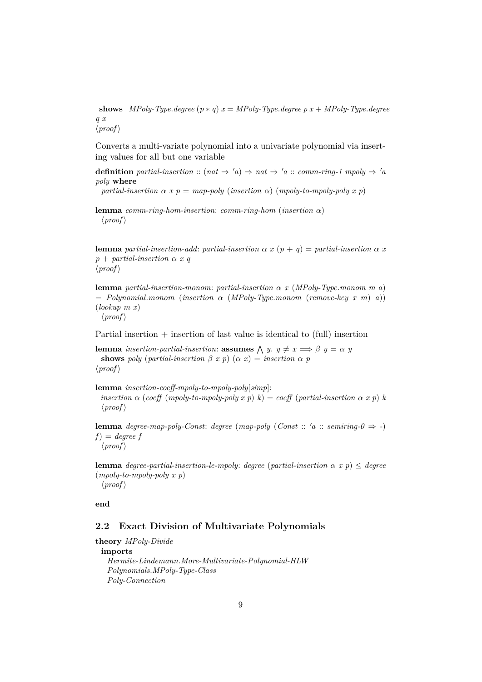**shows** *MPoly-Type.degree*  $(p * q) x = MPoly-Type$ *.degree*  $p x + MPoly-Type$ *.degree q x*  $\langle proof \rangle$ 

Converts a multi-variate polynomial into a univariate polynomial via inserting values for all but one variable

**definition** *partial-insertion* :: ( $nat \Rightarrow 'a$ )  $\Rightarrow nat \Rightarrow 'a$  :: *comm-ring-1 mpoly*  $\Rightarrow 'a$ *poly* **where**

*partial-insertion*  $\alpha$  *x*  $p = map-poly$  (*insertion*  $\alpha$ ) (*mpoly-to-mpoly-poly x p*)

**lemma** *comm-ring-hom-insertion*: *comm-ring-hom* (*insertion* α)  $\langle proof \rangle$ 

**lemma** *partial-insertion-add: partial-insertion*  $\alpha x$  ( $p + q$ ) = *partial-insertion*  $\alpha x$ *p* + *partial-insertion* α *x q*  $\langle proof \rangle$ 

**lemma** *partial-insertion-monom*: *partial-insertion* α *x* (*MPoly-Type*.*monom m a*) = *Polynomial*.*monom* (*insertion* α (*MPoly-Type*.*monom* (*remove-key x m*) *a*)) (*lookup m x*)  $\langle proof \rangle$ 

Partial insertion  $+$  insertion of last value is identical to (full) insertion

**lemma** *insertion-partial-insertion*: **assumes**  $\bigwedge$  *y*.  $y \neq x \implies \beta$  *y* =  $\alpha$  *y* **shows** *poly* (*partial-insertion*  $\beta$  *x p*) ( $\alpha$  *x*) = *insertion*  $\alpha$  *p*  $\langle proof \rangle$ 

**lemma** *insertion-coeff-mpoly-to-mpoly-poly*[*simp*]: *insertion*  $\alpha$  (*coeff* (*mpoly-to-mpoly-poly*  $x$  *p*)  $k$ ) = *coeff* (*partial-insertion*  $\alpha$  *x p*)  $k$  $\langle proof \rangle$ 

**lemma** *degree-map-poly-Const: degree* (*map-poly* (*Const* :: 'a :: *semiring-0*  $\Rightarrow$  -)  $f$ *)* = *degree*  $f$  $\langle proof \rangle$ 

**lemma** *degree-partial-insertion-le-mpoly: degree* (*partial-insertion*  $\alpha$  *x p*)  $\leq$  *degree* (*mpoly-to-mpoly-poly x p*)  $\langle proof \rangle$ 

**end**

### <span id="page-8-0"></span>**2.2 Exact Division of Multivariate Polynomials**

**theory** *MPoly-Divide* **imports** *Hermite-Lindemann*.*More-Multivariate-Polynomial-HLW Polynomials*.*MPoly-Type-Class Poly-Connection*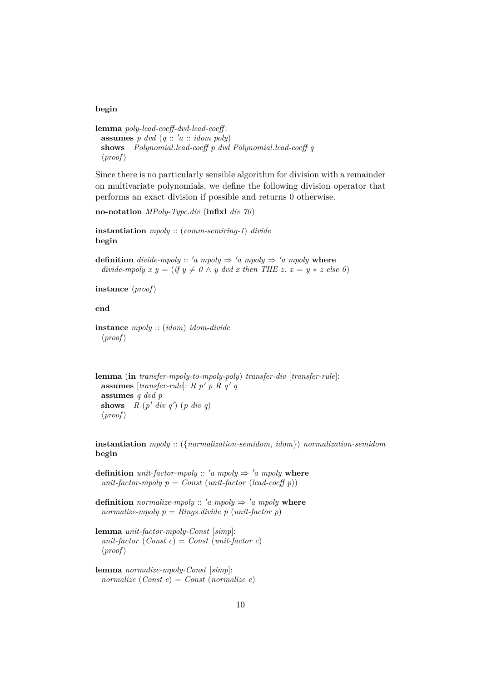#### **begin**

```
lemma poly-lead-coeff-dvd-lead-coeff :
 assumes p dvd (q:: 'a :: idom poly)shows Polynomial.lead-coeff p dvd Polynomial.lead-coeff q
  \langle proof \rangle
```
Since there is no particularly sensible algorithm for division with a remainder on multivariate polynomials, we define the following division operator that performs an exact division if possible and returns 0 otherwise.

```
no-notation MPoly-Type.div (infixl div 70)
```
**instantiation** *mpoly* :: (*comm-semiring-1*) *divide* **begin**

**definition** *divide-mpoly* :: 'a mpoly  $\Rightarrow$  'a mpoly  $\Rightarrow$  'a mpoly **where** *divide-mpoly x y = (if y*  $\neq$  *0*  $\land$  *y dvd x then THE z. x = y \* z else 0)* 

**instance**  $\langle proof \rangle$ 

**end**

**instance** *mpoly* :: (*idom*) *idom-divide*  $\langle proof \rangle$ 

**lemma** (**in** *transfer-mpoly-to-mpoly-poly*) *transfer-div* [*transfer-rule*]: assumes [*transfer-rule*]:  $R p' p R q' q$ **assumes** *q dvd p* **shows**  $R(p' div q') (p div q)$  $\langle proof \rangle$ 

**instantiation** *mpoly* :: ({*normalization-semidom*, *idom*}) *normalization-semidom* **begin**

**definition** *unit-factor-mpoly* ::  $'a$  *mpoly*  $\Rightarrow$   $'a$  *mpoly* **where**  $unit-factor$ -mpoly  $p = Const$  ( $unit-factor$  (*lead-coeff p*))

**definition** *normalize-mpoly* ::  $'a \text{ m} poly \Rightarrow 'a \text{ m} poly$  where *normalize-mpoly p* = *Rings.divide p* (*unit-factor p*)

**lemma** *unit-factor-mpoly-Const* [*simp*]:  $unit-factor (Const c) = Const (unit-factor c)$  $\langle proof \rangle$ 

**lemma** *normalize-mpoly-Const* [*simp*]: *normalize* (*Const c*) = *Const* (*normalize c*)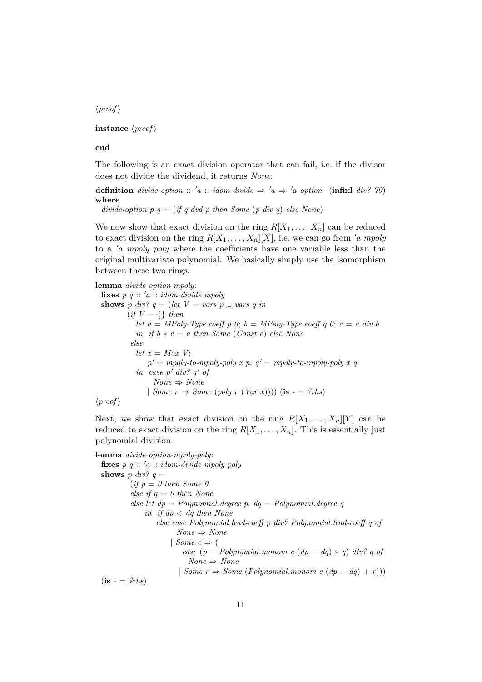$\langle proof \rangle$ 

**instance**  $\langle proof \rangle$ 

**end**

The following is an exact division operator that can fail, i.e. if the divisor does not divide the dividend, it returns *None*.

**definition** *divide-option* :: 'a :: *idom-divide*  $\Rightarrow$  'a  $\Rightarrow$  'a *option* (**infixl** *div?* 70) **where**

*divide-option p q = (if q dvd p then Some (p div q) else None*)

We now show that exact division on the ring  $R[X_1, \ldots, X_n]$  can be reduced to exact division on the ring  $R[X_1, \ldots, X_n][X]$ , i.e. we can go from 'a mpoly to a '*a mpoly poly* where the coefficients have one variable less than the original multivariate polynomial. We basically simply use the isomorphism between these two rings.

**lemma** *divide-option-mpoly*: **fixes**  $p \, q :: 'a :: idom-divide \, mpoly$ **shows** *p* div?  $q = (let \ V = vars \ p \cup vars \ q \ in$  $(if V = \{\} then$ *let a* = *MPoly-Type.coeff p 0*;  $b = MPoly-Type.coeff q 0$ ;  $c = a div b$  $in$  *if*  $b * c = a$  *then Some* (*Const c*) *else None else let*  $x = Max V$ ;  $p' = mpoly-to-mpoly-poly x p; q' = mpoly-to-mpoly-poly x q$ *in case p' div? q' of None* ⇒ *None* | *Some*  $r \Rightarrow$  *Some* (*poly*  $r$  (*Var x*)))) (**is**  $-$  = *?rhs*)

 $\langle proof \rangle$ 

Next, we show that exact division on the ring  $R[X_1, \ldots, X_n][Y]$  can be reduced to exact division on the ring  $R[X_1, \ldots, X_n]$ . This is essentially just polynomial division.

**lemma** *divide-option-mpoly-poly*: **fixes**  $p \ q :: 'a :: idom-divide \ mpoly \ poly$ **shows** *p* div?  $q =$  $(if p = 0 then Some 0$ *else if q* = *0 then None else let dp* = *Polynomial*.*degree p*; *dq* = *Polynomial*.*degree q in if dp* < *dq then None else case Polynomial*.*lead-coeff p div? Polynomial*.*lead-coeff q of None* ⇒ *None* | *Some*  $c \Rightarrow$  ( *case* (*p* − *Polynomial*.*monom c* (*dp* − *dq*) ∗ *q*) *div? q of None* ⇒ *None* | *Some r* ⇒ *Some* (*Polynomial*.*monom c* (*dp* − *dq*) + *r*)))  $(i\mathbf{s} - \mathbf{r} = \ell r h s)$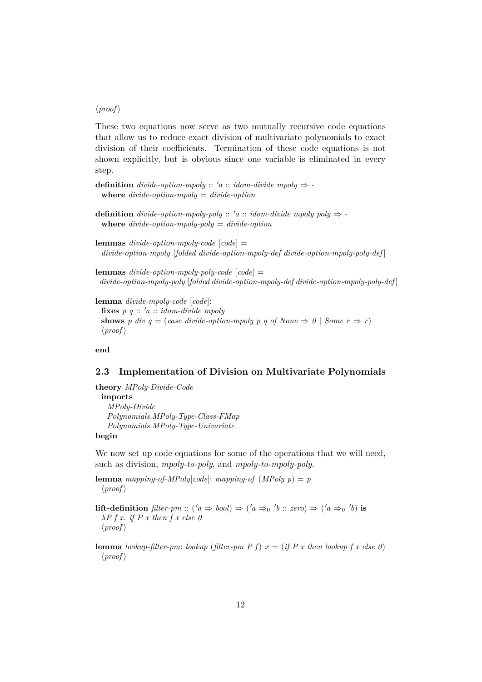#### $\langle proof \rangle$

These two equations now serve as two mutually recursive code equations that allow us to reduce exact division of multivariate polynomials to exact division of their coefficients. Termination of these code equations is not shown explicitly, but is obvious since one variable is eliminated in every step.

**definition** *divide-option-mpoly* :: 'a :: *idom-divide mpoly*  $\Rightarrow$  **where** *divide-option-mpoly* = *divide-option*

**definition** *divide-option-mpoly-poly* ::  $'a$  :: *idom-divide mpoly poly*  $\Rightarrow$  **where** *divide-option-mpoly-poly* = *divide-option*

**lemmas** *divide-option-mpoly-code* [*code*] = *divide-option-mpoly* [*folded divide-option-mpoly-def divide-option-mpoly-poly-def* ]

**lemmas** *divide-option-mpoly-poly-code* [*code*] = *divide-option-mpoly-poly* [*folded divide-option-mpoly-def divide-option-mpoly-poly-def* ]

**lemma** *divide-mpoly-code* [*code*]: **fixes**  $p \ q :: 'a :: idom-divide \ mpoly$ **shows** *p* div  $q = (case \ divide\ option\-mpoly p \ q \ of \ None \Rightarrow 0 \ | \ Some \ r \Rightarrow r)$  $\langle proof \rangle$ 

**end**

#### <span id="page-11-0"></span>**2.3 Implementation of Division on Multivariate Polynomials**

**theory** *MPoly-Divide-Code* **imports** *MPoly-Divide Polynomials*.*MPoly-Type-Class-FMap Polynomials*.*MPoly-Type-Univariate* **begin**

We now set up code equations for some of the operations that we will need, such as division, *mpoly-to-poly*, and *mpoly-to-mpoly-poly*.

**lemma** *mapping-of-MPoly*[*code*]: *mapping-of* (*MPoly p*) = *p*  $\langle proof \rangle$ 

**lift-definition**  $filter\text{-}pm :: ('a \Rightarrow bool) \Rightarrow ('a \Rightarrow_0 'b :: zero) \Rightarrow ('a \Rightarrow_0 'b)$  is λ*P f x*. *if P x then f x else 0*  $\langle proof \rangle$ 

**lemma** *lookup-filter-pm*: *lookup* (*filter-pm P f*)  $x = (if P x then lookup f x else 0)$  $\langle proof \rangle$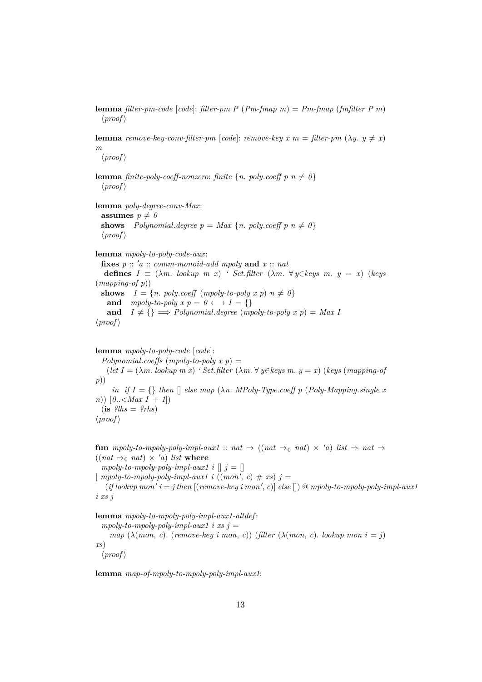**lemma** *filter-pm-code* [*code*]: *filter-pm P* (*Pm-fmap m*) = *Pm-fmap* (*fmfilter P m*)  $\langle proof \rangle$ 

**lemma** *remove-key-conv-filter-pm* [*code*]: *remove-key x m* = *filter-pm*  $(\lambda y. y \neq x)$ *m*

 $\langle proof \rangle$ 

**lemma** *finite-poly-coeff-nonzero: finite*  $\{n$ *. poly.coeff p n*  $\neq 0$ }  $\langle proof \rangle$ 

**lemma** *poly-degree-conv-Max*: **assumes**  $p \neq 0$ **shows** *Polynomial.degree p* = *Max* {*n. poly.coeff p n*  $\neq$  *0*}  $\langle proof \rangle$ 

**lemma** *mpoly-to-poly-code-aux*:

**fixes**  $p$  :: 'a :: comm-monoid-add mpoly and  $x$  :: nat **defines**  $I \equiv (\lambda m. \text{lookup } m \text{ } x)$  *' Set.filter*  $(\lambda m. \forall y \in keys \text{ } m. \text{ } y = x)$  (*keys* (*mapping-of p*)) **shows**  $I = \{n. \text{poly.coeff } (mpoly-to-poly \ x \ p) \ n \neq 0\}$ **and** *mpoly-to-poly*  $x p = 0 \leftrightarrow I = \{\}$ **and**  $I \neq \{\} \implies Polynomial \cdot degree \ (mpoly-to-poly \ x \ p) = Max \ I$  $\langle proof \rangle$ 

**lemma** *mpoly-to-poly-code* [*code*]:

 $Polynomial. coefficients (mpoly-to-poly x p) =$  $(\text{let } I = (\lambda m, \text{ lookup } m x)$  *' Set.filter*  $(\lambda m, \forall y \in \text{keys } m, y = x)$  (*keys* (*mapping-of p*)) *in if*  $I = \{\}$  *then*  $\Box$  *else map* ( $\lambda n$ *. MPoly-Type.coeff p* (*Poly-Mapping.single x n*))  $[0..\langle Max I + 1]$  $(i\mathbf{s}$   $?lhs = ?rhs)$  $\langle proof \rangle$ 

**fun**  $mpoly-to-mpoly-poly-impl-aux1$  ::  $nat \Rightarrow ((nat \Rightarrow_0 nat) \times 'a) list \Rightarrow nat \Rightarrow$  $((nat \Rightarrow_0 nat) \times 'a)$  *list* where  $mpoly-to-mpoly-poly-impl-aux1$  *i*  $\parallel$  *j* =  $\parallel$  $\mid mpoly-to-mpoly-poly-impl-aux1 \, \iota \, ((mon', c) \# xs) \, \jmath =$ 

 $(i\text{if lookup mon'}\ i = \text{j} \ \text{then} \ [(remove-key \ i \ mon', c)] \ \text{else} [] \ @ \ \text{mpoly-to-mpoly-poly-impl-aux1}$ *i xs j*

**lemma** *mpoly-to-mpoly-poly-impl-aux1-altdef* :  $mpoly-to-mpoly-poly-impl-aux1$  *i*  $xs$   $j =$ *map*  $(\lambda (mon, c)$ . (*remove-key i mon, c*)) (*filter*  $(\lambda (mon, c)$ . *lookup mon i* = *j*) *xs*)  $\langle proof \rangle$ 

**lemma** *map-of-mpoly-to-mpoly-poly-impl-aux1*: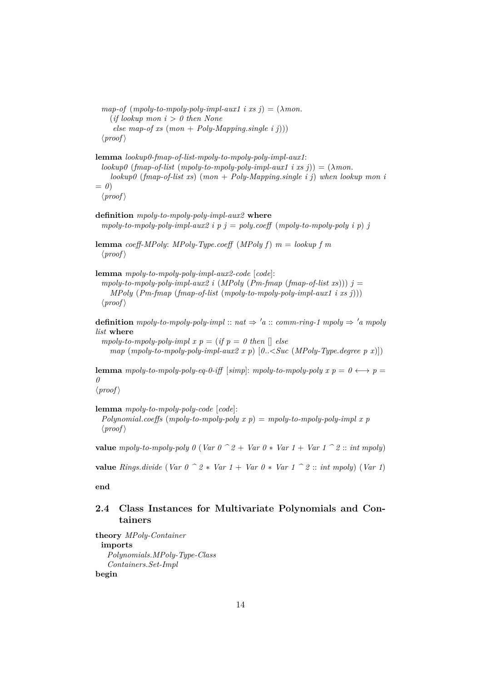*map-of*  $(mpoly-to-mpoly-poly-impl-aux1 \text{ i } xs j) = (\lambda mon.$ (*if lookup mon i* > *0 then None else map-of xs* (*mon* + *Poly-Mapping*.*single i j*)))  $\langle proof \rangle$ 

**lemma** *lookup0-fmap-of-list-mpoly-to-mpoly-poly-impl-aux1*:  $\langle \text{lookup 0 (} \text{fmap-of-list (} \text{mpoly-to-mpoly-poly-} \text{impl-} \text{aux1 } \text{i} \text{ x} \text{ s } \text{ j} \text{)} \rangle = (\lambda \text{mon.})$ *lookup0* (*fmap-of-list xs*) (*mon* + *Poly-Mapping*.*single i j*) *when lookup mon i*  $= 0$  $\langle proof \rangle$ 

**definition** *mpoly-to-mpoly-poly-impl-aux2* **where**  $mpoly-to-mpoly-poly-impl-aux2$  *i*  $p$  *j* =  $poly.coeff$  ( $mpoly-to-mpoly-poly$  *i*  $p)$  *j* 

**lemma** *coeff-MPoly*: *MPoly-Type*.*coeff* (*MPoly f*) *m* = *lookup f m*  $\langle proof \rangle$ 

**lemma** *mpoly-to-mpoly-poly-impl-aux2-code* [*code*]:

 $mpoly-to-mpoly-poly-impl-aux2$  *i* (*MPoly* (*Pm-fmap* (*fmap-of-list xs*)))  $j =$ *MPoly* (*Pm-fmap* (*fmap-of-list* (*mpoly-to-mpoly-poly-impl-aux1 i xs j*)))  $\langle proof \rangle$ 

**definition**  $mpoly-to-mpoly-poly-impl$  ::  $nat \Rightarrow 'a :: comm-ring-1 \, mpoly \Rightarrow 'a \, mpoly$ *list* **where**

*mpoly-to-mpoly-poly-impl x p = (if p = 0 then*  $\Box$  *else map* (*mpoly-to-mpoly-poly-impl-aux2 x p*) [*0*..<*Suc* (*MPoly-Type*.*degree p x*)])

**lemma** *mpoly-to-mpoly-poly-eq-0-iff* [*simp*]: *mpoly-to-mpoly-poly x p* =  $0 \leftrightarrow p$  = *0*

 $\langle proof \rangle$ 

**lemma** *mpoly-to-mpoly-poly-code* [*code*]:

*Polynomial*.*coeffs* (*mpoly-to-mpoly-poly x p*) = *mpoly-to-mpoly-poly-impl x p*  $\langle proof \rangle$ 

**value** *mpoly-to-mpoly-poly 0* (*Var*  $0 \text{ } ^{\frown} 2 +$  *Var*  $0 \text{ } ^{*}$  *Var*  $1 +$  *Var*  $1 \text{ } ^{\frown} 2$  :: *int mpoly*)

**value** *Rings.divide* (*Var*  $0 \text{ }^{\frown} 2 * \text{ } \text{Var } 1 + \text{Var } 0 * \text{ } \text{Var } 1 \text{ }^{\frown} 2 :: \text{ int } \text{mpoly}$ ) (*Var* 1)

**end**

## <span id="page-13-0"></span>**2.4 Class Instances for Multivariate Polynomials and Containers**

**theory** *MPoly-Container* **imports** *Polynomials*.*MPoly-Type-Class Containers*.*Set-Impl* **begin**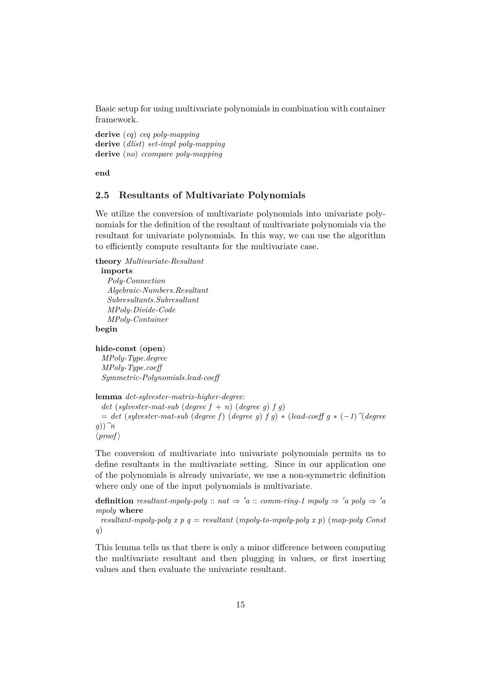Basic setup for using multivariate polynomials in combination with container framework.

**derive** (*eq*) *ceq poly-mapping* **derive** (*dlist*) *set-impl poly-mapping* **derive** (*no*) *ccompare poly-mapping*

**end**

### <span id="page-14-0"></span>**2.5 Resultants of Multivariate Polynomials**

We utilize the conversion of multivariate polynomials into univariate polynomials for the definition of the resultant of multivariate polynomials via the resultant for univariate polynomials. In this way, we can use the algorithm to efficiently compute resultants for the multivariate case.

**theory** *Multivariate-Resultant*

**imports** *Poly-Connection Algebraic-Numbers*.*Resultant Subresultants*.*Subresultant MPoly-Divide-Code MPoly-Container* **begin**

**hide-const** (**open**)

*MPoly-Type*.*degree MPoly-Type*.*coeff Symmetric-Polynomials*.*lead-coeff*

**lemma** *det-sylvester-matrix-higher-degree*:

*det* (*sylvester-mat-sub* (*degree*  $f + n$ ) (*degree g*)  $f$  *g*) = *det* (*sylvester-mat-sub* (*degree f*) (*degree g*) *f g*) ∗ (*lead-coeff g* ∗ (−*1*)*^*(*degree g*))*^n*  $\langle proof \rangle$ 

The conversion of multivariate into univariate polynomials permits us to define resultants in the multivariate setting. Since in our application one of the polynomials is already univariate, we use a non-symmetric definition where only one of the input polynomials is multivariate.

**definition** *resultant-mpoly-poly* ::  $nat \Rightarrow 'a$  :: *comm-ring-1 mpoly*  $\Rightarrow 'a$  *poly*  $\Rightarrow 'a$ *mpoly* **where**

*resultant-mpoly-poly x p q* = *resultant* (*mpoly-to-mpoly-poly x p*) (*map-poly Const q*)

This lemma tells us that there is only a minor difference between computing the multivariate resultant and then plugging in values, or first inserting values and then evaluate the univariate resultant.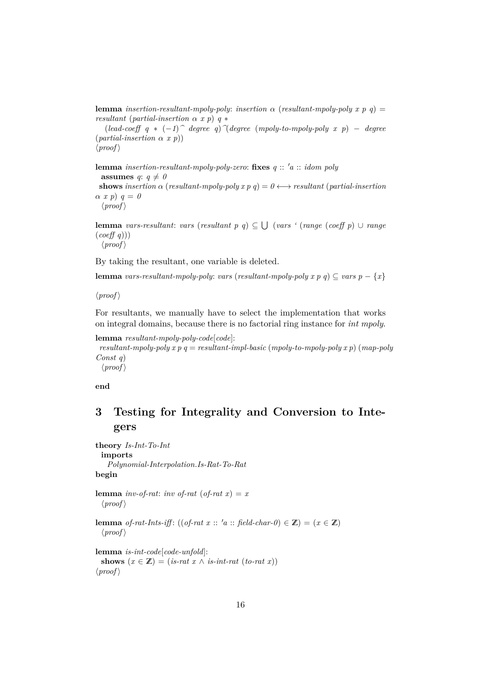**lemma** *insertion-resultant-mpoly-poly*: *insertion*  $\alpha$  (*resultant-mpoly-poly x p q*) = *resultant* (*partial-insertion* α *x p*) *q* ∗

(*lead-coeff q* ∗ (−*1*)*^ degree q*)*^*(*degree* (*mpoly-to-mpoly-poly x p*) − *degree* (*partial-insertion* α *x p*))

 $\langle proof \rangle$ 

**lemma** *insertion-resultant-mpoly-poly-zero*: **fixes**  $q$  ::  $'a$  :: *idom poly* **assumes**  $q: q \neq 0$ **shows** *insertion*  $\alpha$  (*resultant-mpoly-poly*  $x \cdot p$   $q$ ) =  $0 \leftrightarrow$  *resultant* (*partial-insertion*  $\alpha \, x \, p$ )  $q = 0$  $\langle proof \rangle$ 

**lemma** *vars-resultant*: *vars* (*resultant p q*) ⊆ S (*vars '* (*range* (*coeff p*) ∪ *range* (*coeff q*)))

 $\langle proof \rangle$ 

By taking the resultant, one variable is deleted.

**lemma** *vars-resultant-mpoly-poly: vars* (*resultant-mpoly-poly*  $x p q$ )  $\subseteq$  *vars*  $p - \{x\}$ 

 $\langle proof \rangle$ 

For resultants, we manually have to select the implementation that works on integral domains, because there is no factorial ring instance for *int mpoly*.

```
lemma resultant-mpoly-poly-code[code]:
 resultant-mpoly-poly x p q = resultant-impl-basic (mpoly-to-mpoly-poly x p) (map-polyConst q)
  \langle proof \rangle
```
**end**

# <span id="page-15-0"></span>**3 Testing for Integrality and Conversion to Integers**

**theory** *Is-Int-To-Int* **imports** *Polynomial-Interpolation*.*Is-Rat-To-Rat* **begin lemma** *inv-of-rat*: *inv of-rat* (*of-rat x*) = *x*  $\langle proof \rangle$ **lemma** *of-rat-Ints-iff*: ((*of-rat x* :: '*a* :: *field-char-0*)  $\in \mathbb{Z}$ ) = ( $x \in \mathbb{Z}$ )  $\langle proof \rangle$ **lemma** *is-int-code*[*code-unfold*]: **shows**  $(x \in \mathbb{Z}) = (is-rat \ x \wedge is-int-rat \ (to-rat \ x))$  $\langle proof \rangle$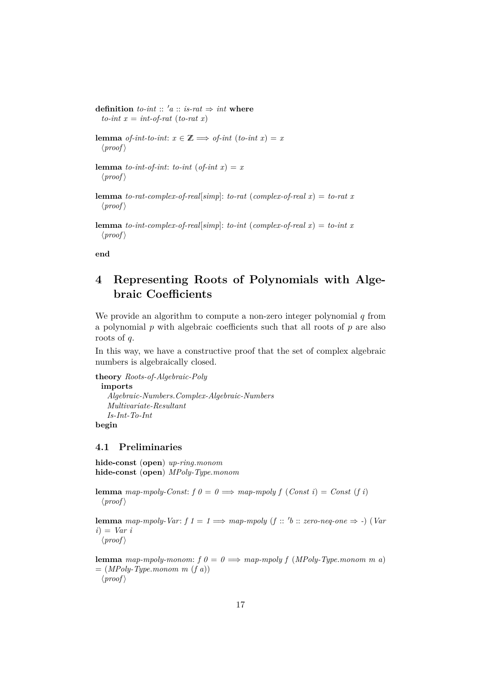**definition** *to-int* ::  $'a$  :: *is-rat*  $\Rightarrow$  *int* **where**  $to-int x = int-of-rat (to-rat x)$ 

**lemma** *of-int-to-int*:  $x \in \mathbb{Z} \implies$  *of-int* (*to-int x*) = *x*  $\langle proof \rangle$ 

**lemma** *to-int-of-int*: *to-int* (*of-int x*) = *x*  $\langle proof \rangle$ 

**lemma** *to-rat-complex-of-real*[*simp*]: *to-rat* (*complex-of-real x*) = *to-rat x*  $\langle proof \rangle$ 

**lemma** *to-int-complex-of-real*[*simp*]: *to-int* (*complex-of-real x*) = *to-int x*  $\langle proof \rangle$ 

**end**

# <span id="page-16-0"></span>**4 Representing Roots of Polynomials with Algebraic Coefficients**

We provide an algorithm to compute a non-zero integer polynomial  $q$  from a polynomial  $p$  with algebraic coefficients such that all roots of  $p$  are also roots of q.

In this way, we have a constructive proof that the set of complex algebraic numbers is algebraically closed.

**theory** *Roots-of-Algebraic-Poly* **imports** *Algebraic-Numbers*.*Complex-Algebraic-Numbers Multivariate-Resultant Is-Int-To-Int*

**begin**

#### <span id="page-16-1"></span>**4.1 Preliminaries**

**hide-const** (**open**) *up-ring*.*monom* **hide-const** (**open**) *MPoly-Type*.*monom*

**lemma** *map-mpoly-Const:*  $f \theta = \theta \implies \text{map-mpoly } f \text{ } (\text{Const } i) = \text{Const } (f \ i)$  $\langle proof \rangle$ 

**lemma** map-mpoly-Var:  $f \neq 1 \implies map\text{-}mpoly \ (f \ :: \text{'} b \ :: \text{zero-neg-one} \implies \text{-}) \ (Var \ \text{[} \ \text{[} \ \text{[} \ \text{[} \ \text{[} \ \text{[} \ \text{[} \ \text{[} \ \text{[} \ \text{[} \ \text{[} \ \text{[} \ \text{[} \ \text{[} \ \text{[} \ \text{[} \ \text{[} \ \text{[} \ \text{[} \ \text{[} \ \text{[} \ \text{[} \ \text{[} \ \text{[} \ \text{[} \$ *i*) = *Var i*  $\langle proof \rangle$ 

**lemma** *map-mpoly-monom:*  $f \theta = \theta \implies$  *map-mpoly*  $f (MPoly-Type.monom \ m \ a)$  $= (MPoly-Type.monom m (f a))$  $\langle proof \rangle$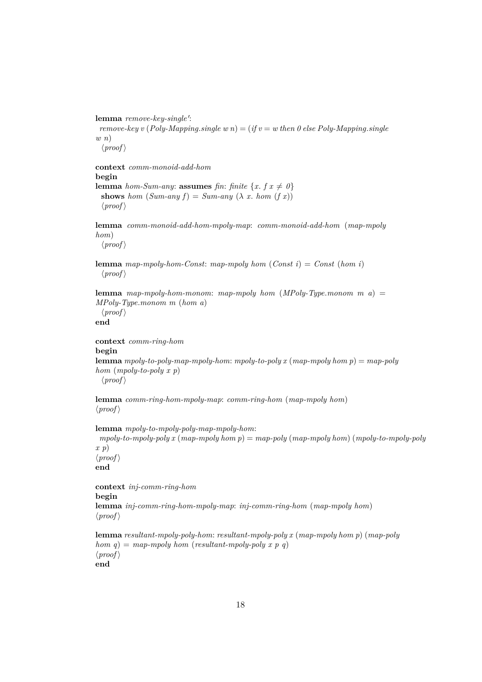lemma remove-key-single':

*remove-key v* (*Poly-Mapping.single w n*) = (*if v* = *w* then 0 else Poly-Mapping.single *w n*)

 $\langle proof \rangle$ 

**context** *comm-monoid-add-hom* **begin lemma** *hom-Sum-any*: **assumes** *fin*: *finite*  $\{x, f \mid x \neq 0\}$ **shows** *hom*  $(Sum-any f) = Sum-any (\lambda x. hom (f x))$  $\langle proof \rangle$ 

**lemma** *comm-monoid-add-hom-mpoly-map*: *comm-monoid-add-hom* (*map-mpoly hom*)  $\langle proof \rangle$ 

**lemma** *map-mpoly-hom-Const*: *map-mpoly hom* (*Const i*) = *Const* (*hom i*)  $\langle proof \rangle$ 

**lemma** *map-mpoly-hom-monom*: *map-mpoly hom* (*MPoly-Type*.*monom m a*) = *MPoly-Type*.*monom m* (*hom a*)  $\langle proof \rangle$ 

**end**

```
context comm-ring-hom
begin
lemma mpoly-to-poly-map-mpoly-hom: mpoly-to-poly x (map-mpoly hom p) = map-poly
hom (mpoly-to-poly x p)
 \langle proof \rangle
```
**lemma** *comm-ring-hom-mpoly-map*: *comm-ring-hom* (*map-mpoly hom*)  $\langle proof \rangle$ 

```
lemma mpoly-to-mpoly-poly-map-mpoly-hom:
mpoly-to-mpoly-poly x (map-mpoly hom p) = map-poly (map-mpoly hom) (mpoly-to-mpoly-poly
x p)
\langle proof \rangleend
```
**context** *inj-comm-ring-hom* **begin lemma** *inj-comm-ring-hom-mpoly-map*: *inj-comm-ring-hom* (*map-mpoly hom*)  $\langle proof \rangle$ 

**lemma** *resultant-mpoly-poly-hom*: *resultant-mpoly-poly x* (*map-mpoly hom p*) (*map-poly hom*  $q$ ) = *map-mpoly hom* (*resultant-mpoly-poly x p q*)  $\langle proof \rangle$ **end**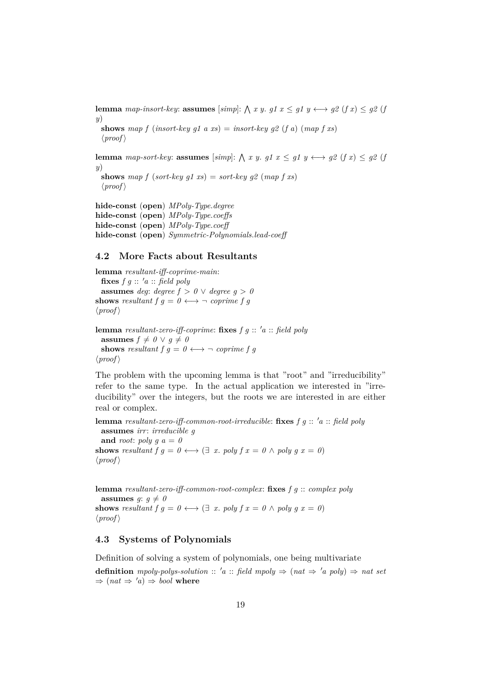**lemma** *map-insort-key*: **assumes**  $[simp]$ :  $\bigwedge x$  *y*. *g1*  $x \leq g1$   $y \leftrightarrow g2$  (*f*  $x$ )  $\leq g2$  (*j y*)

**shows** map f (*insort-key g1 a xs*) = *insort-key g2* (*f a*) (*map f xs*)  $\langle proof \rangle$ 

**lemma** map-sort-key: **assumes** [simp]:  $\bigwedge x$  y. g1  $x \leq g1$  y  $\longleftrightarrow g2$  (f x)  $\leq g2$  (j *y*)

**shows** map f (*sort-key q1 xs*) = *sort-key q2* (*map f xs*)  $\langle proof \rangle$ 

**hide-const** (**open**) *MPoly-Type*.*degree* **hide-const** (**open**) *MPoly-Type*.*coeffs* **hide-const** (**open**) *MPoly-Type*.*coeff* **hide-const** (**open**) *Symmetric-Polynomials*.*lead-coeff*

#### <span id="page-18-0"></span>**4.2 More Facts about Resultants**

**lemma** *resultant-iff-coprime-main*: **fixes**  $f \circ g :: 'a :: \text{ field } poly$ **assumes** *deg*: *degree*  $f > 0 \lor degree\ g > 0$ **shows** *resultant*  $f \circ g = 0 \leftrightarrow \neg$  *coprime*  $f \circ g$  $\langle proof \rangle$ 

**lemma** *resultant-zero-iff-coprime*: **fixes**  $f$   $g$  ::  $'a$  :: *field poly* **assumes**  $f \neq 0 \vee q \neq 0$ **shows** *resultant*  $f \circ g = 0 \leftrightarrow \neg$  *coprime*  $f \circ g$  $\langle proof \rangle$ 

The problem with the upcoming lemma is that "root" and "irreducibility" refer to the same type. In the actual application we interested in "irreducibility" over the integers, but the roots we are interested in are either real or complex.

**lemma** *resultant-zero-iff-common-root-irreducible:* **fixes**  $f g :: 'a :: 'field poly$ **assumes** *irr*: *irreducible g* and *root*: *poly*  $q a = 0$ **shows** *resultant*  $f \circ g = 0 \leftrightarrow (\exists x. \text{ poly } f x = 0 \land \text{ poly } g x = 0)$  $\langle proof \rangle$ 

**lemma** *resultant-zero-iff-common-root-complex*: **fixes** *f g* :: *complex poly* **assumes**  $g: g \neq 0$ **shows** *resultant*  $f \circ g = 0 \leftrightarrow (\exists x. \text{ poly } f x = 0 \land \text{ poly } g x = 0)$  $\langle proof \rangle$ 

#### <span id="page-18-1"></span>**4.3 Systems of Polynomials**

Definition of solving a system of polynomials, one being multivariate

**definition** *mpoly-polys-solution* :: 'a :: *field mpoly*  $\Rightarrow$  (*nat*  $\Rightarrow$  'a *poly*)  $\Rightarrow$  *nat set*  $\Rightarrow$   $(nat \Rightarrow 'a) \Rightarrow bool$  where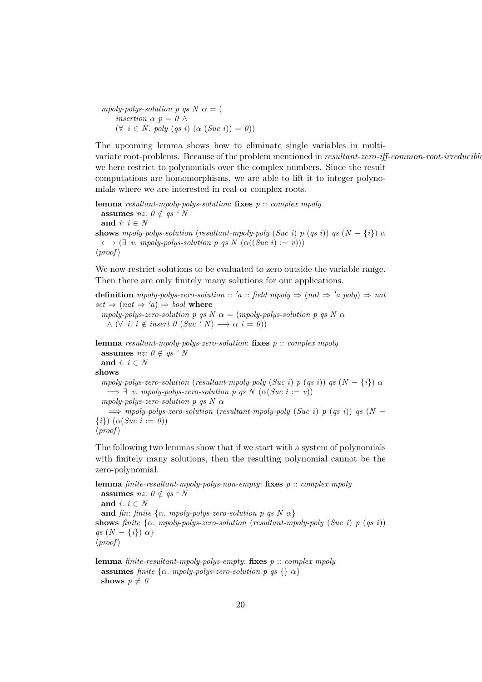*mpoly-polys-solution p qs N*  $\alpha =$  ( *insertion*  $\alpha$  *p* = *0*  $\land$  $(\forall i \in N. poly (qs i) (\alpha (Suc i)) = 0)$ 

The upcoming lemma shows how to eliminate single variables in multivariate root-problems. Because of the problem mentioned in *resultant-zero-iff-common-root-irreducible*, we here restrict to polynomials over the complex numbers. Since the result computations are homomorphisms, we are able to lift it to integer polynomials where we are interested in real or complex roots.

**lemma** *resultant-mpoly-polys-solution*: **fixes** *p* :: *complex mpoly* **assumes** *nz*:  $0 \notin qs$  ' N and  $i: i \in N$ **shows** *mpoly-polys-solution* (*resultant-mpoly-poly* (*Suc i*) *p* (*qs i*)) *qs* (*N* − {*i*})  $\alpha$  $\longleftrightarrow$   $(\exists v \cdot mpoly-polys-solution p \text{ q} s N (\alpha((Suc i) := v)))$  $\langle proof \rangle$ 

We now restrict solutions to be evaluated to zero outside the variable range. Then there are only finitely many solutions for our applications.

**definition**  $mpoly-polys-zero-solution :: 'a :: field mpoly \Rightarrow (nat \Rightarrow 'a poly) \Rightarrow nat$  $set \Rightarrow (nat \Rightarrow 'a) \Rightarrow bool$  where *mpoly-polys-zero-solution p qs N*  $\alpha$  = (*mpoly-polys-solution p qs N*  $\alpha$  $\land$  ( $\forall$  *i*. *i*  $\notin$  *insert*  $\theta$  (*Suc* '  $N$ )  $\longrightarrow$   $\alpha$  *i* =  $\theta$ )) **lemma** *resultant-mpoly-polys-zero-solution*: **fixes** *p* :: *complex mpoly* **assumes** *nz*:  $0 \notin qs$  *' N* and  $i: i \in N$ **shows** *mpoly-polys-zero-solution* (*resultant-mpoly-poly* (*Suc i*) *p* (*qs i*)) *qs*  $(N - \{i\}) \alpha$  $\implies \exists v$ . *mpoly-polys-zero-solution p qs N* ( $\alpha(Suc \ i := v)$ ) *mpoly-polys-zero-solution p qs N* α  $\implies$  *mpoly-polys-zero-solution* (*resultant-mpoly-poly* (*Suc i*) *p* (*qs i*)) *qs* (*N* −  $\{i\}$ )  $(\alpha(Suc \ i := 0))$  $\langle proof \rangle$ 

The following two lemmas show that if we start with a system of polynomials with finitely many solutions, then the resulting polynomial cannot be the zero-polynomial.

**lemma** *finite-resultant-mpoly-polys-non-empty*: **fixes** *p* :: *complex mpoly* **assumes** *nz*:  $0 \notin \textit{as} \cdot N$ and  $i: i \in N$ **and** *fin*: *finite* { $\alpha$ *. mpoly-polys-zero-solution p qs N*  $\alpha$ *}* **shows** *finite* {α. *mpoly-polys-zero-solution* (*resultant-mpoly-poly* (*Suc i*) *p* (*qs i*)) *qs*  $(N - \{i\}) \alpha\}$  $\langle proof \rangle$ 

**lemma** *finite-resultant-mpoly-polys-empty*: **fixes** *p* :: *complex mpoly* **assumes** *finite* { $\alpha$ *. mpoly-polys-zero-solution*  $p$   $q$ *s* {}  $\alpha$ } **shows**  $p \neq 0$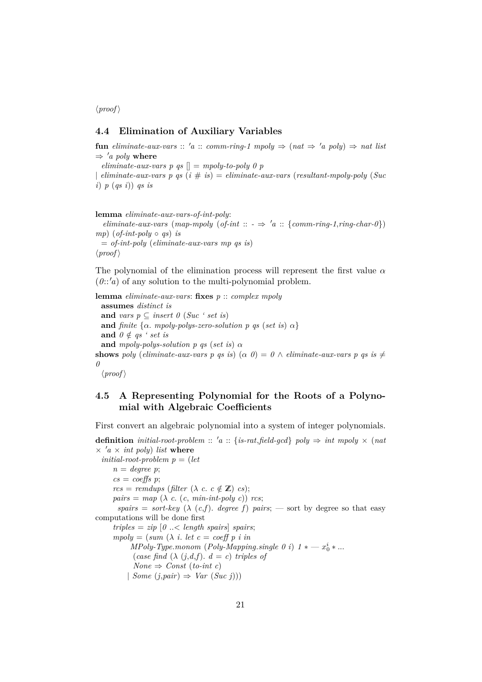$\langle proof \rangle$ 

#### <span id="page-20-0"></span>**4.4 Elimination of Auxiliary Variables**

**fun**  $eliminate-aux-vars :: 'a :: comm-ring-1 mpoly \Rightarrow (nat \Rightarrow 'a poly) \Rightarrow nat list$  $\Rightarrow 'a \text{ poly where}$ 

 $eliminate-aux-vars p$  *as*  $\vert\vert = m\nu b \cdot b \cdot p$  *p* 

| *eliminate-aux-vars p qs* (*i* # *is*) = *eliminate-aux-vars* (*resultant-mpoly-poly* (*Suc i*) *p* (*qs i*)) *qs is*

```
lemma eliminate-aux-vars-of-int-poly:
  eliminate-aux-vars (map-mpoly (of-int :: - \Rightarrow 'a :: {comm-ring-1}, ring-char-0)mp) (of-int-poly \circ qs) is
 = of-int-poly (eliminate-aux-vars mp qs is)
\langle proof \rangle
```
The polynomial of the elimination process will represent the first value  $\alpha$  $(0::'a)$  of any solution to the multi-polynomial problem.

```
lemma eliminate-aux-vars: fixes p :: complex mpoly
 assumes distinct is
 and vars p \subseteq insert \theta (Suc ' set is)
 and finite {\alpha. mpoly-polys-zero-solution p qs (set is) \alpha}
 and 0 \notin qs ' set is
 and mpoly-polys-solution p qs (set is) \alphashows poly (eliminate-aux-vars p qs is) (\alpha 0) = 0 \land eliminate-aux-vars p qs is \neq0
```
 $\langle proof \rangle$ 

## <span id="page-20-1"></span>**4.5 A Representing Polynomial for the Roots of a Polynomial with Algebraic Coefficients**

First convert an algebraic polynomial into a system of integer polynomials.

**definition** *initial-root-problem* ::  $'a$  :: {*is-rat,field-gcd*}  $poly \Rightarrow int \ mpoly \times (nat$  $\times$  <sup>*'a*</sup>  $\times$  *int poly*) *list* where  $initial-root-problem$   $p = (let$  $n = degree p;$  $cs = coef$ *fs*  $p$ ;  $rcs = remdups$  (*filter* ( $\lambda$  *c*. *c*  $\notin \mathbb{Z}$ ) *cs*);  $pairs = map \ (\lambda \ c. \ (c, \ min-int-poly \ c)) \ rcs;$ *spairs* = *sort-key* ( $\lambda$  (*c*,*f*). *degree f*) *pairs*; — sort by degree so that easy computations will be done first  $triples = zip [0 \dots < length \text{ }spairs] \text{ }spairs;$  $mpoly = (sum (\lambda i. let c = coeff p i in$ *MPoly-Type.monom* (*Poly-Mapping.single 0 i*)  $1 * - x_0^i * ...$ (*case find*  $(\lambda (j,d,f), d = c)$  *triples of*  $None \Rightarrow Const (to-int c)$ | *Some* (*j*,*pair*) ⇒ *Var* (*Suc j*)))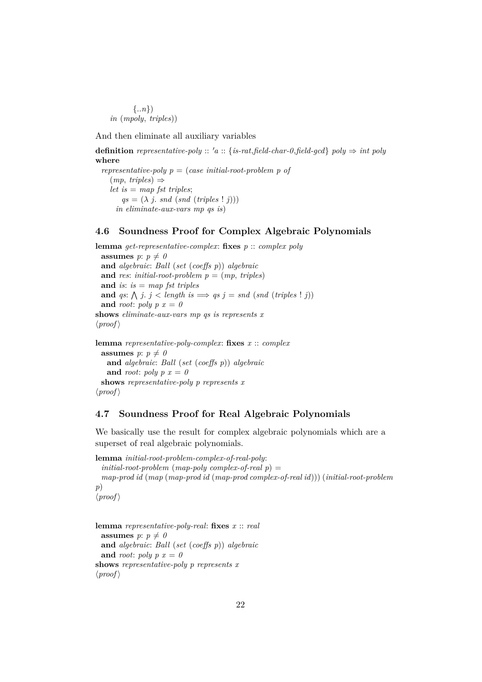{..*n*}) *in* (*mpoly*, *triples*))

And then eliminate all auxiliary variables

**definition** *representative-poly* ::  $'a$  :: {*is-rat,field-char-0,field-gcd*} *poly*  $\Rightarrow$  *int poly* **where**

*representative-poly p* = (*case initial-root-problem p of*  $(mp, triples) \Rightarrow$ *let is* = *map fst triples*;  $qs = (\lambda j. \text{ and } (\text{snd } (\text{triples } | j)))$ *in eliminate-aux-vars mp qs is*)

#### <span id="page-21-0"></span>**4.6 Soundness Proof for Complex Algebraic Polynomials**

**lemma** *get-representative-complex*: **fixes** *p* :: *complex poly* **assumes**  $p: p \neq 0$ **and** *algebraic*: *Ball* (*set* (*coeffs p*)) *algebraic* and *res*: *initial-root-problem*  $p = (mp, triples)$ **and** *is*: *is* = *map fst triples* **and** *qs*:  $\bigwedge$  *j*. *j* < *length is*  $\implies$  *qs j* = *snd* (*snd* (*triples* ! *j*)) and *root*:  $poly p x = 0$ **shows** *eliminate-aux-vars mp qs is represents x*  $\langle proof \rangle$ **lemma** *representative-poly-complex*: **fixes** *x* :: *complex* **assumes**  $p: p \neq 0$ 

**and** *algebraic*: *Ball* (*set* (*coeffs p*)) *algebraic* and *root*:  $poly p x = 0$ **shows** *representative-poly p represents x*  $\langle proof \rangle$ 

### <span id="page-21-1"></span>**4.7 Soundness Proof for Real Algebraic Polynomials**

We basically use the result for complex algebraic polynomials which are a superset of real algebraic polynomials.

**lemma** *initial-root-problem-complex-of-real-poly*: *initial-root-problem* (*map-poly complex-of-real p*) = *map-prod id* (*map* (*map-prod id* (*map-prod complex-of-real id*))) (*initial-root-problem p*)  $\langle proof \rangle$ 

**lemma** *representative-poly-real*: **fixes** *x* :: *real* **assumes**  $p: p \neq 0$ **and** *algebraic*: *Ball* (*set* (*coeffs p*)) *algebraic* and *root*: *poly*  $p x = 0$ **shows** *representative-poly p represents x*  $\langle proof \rangle$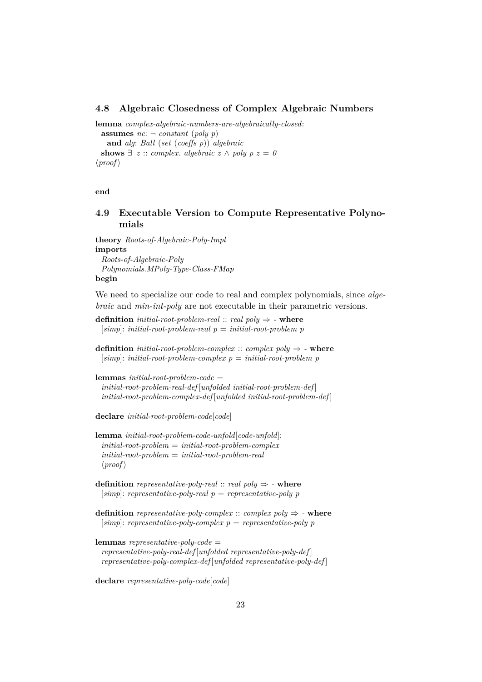#### <span id="page-22-0"></span>**4.8 Algebraic Closedness of Complex Algebraic Numbers**

**lemma** *complex-algebraic-numbers-are-algebraically-closed*: **assumes**  $nc: \neg constant (poly p)$ **and** *alg*: *Ball* (*set* (*coeffs p*)) *algebraic* **shows**  $\exists z :: complex. algebraic z \land poly p z = 0$  $\langle proof \rangle$ 

**end**

### <span id="page-22-1"></span>**4.9 Executable Version to Compute Representative Polynomials**

**theory** *Roots-of-Algebraic-Poly-Impl* **imports** *Roots-of-Algebraic-Poly Polynomials*.*MPoly-Type-Class-FMap* **begin**

We need to specialize our code to real and complex polynomials, since *algebraic* and *min-int-poly* are not executable in their parametric versions.

**definition** *initial-root-problem-real* :: *real poly*  $\Rightarrow$  **- where** [*simp*]: *initial-root-problem-real p* = *initial-root-problem p*

**definition** *initial-root-problem-complex* :: *complex poly*  $\Rightarrow$  **- where** [*simp*]: *initial-root-problem-complex p* = *initial-root-problem p*

```
lemmas initial-root-problem-code =
 initial-root-problem-real-def [unfolded initial-root-problem-def ]
 initial-root-problem-complex-def [unfolded initial-root-problem-def ]
```
**declare** *initial-root-problem-code*[*code*]

**lemma** *initial-root-problem-code-unfold*[*code-unfold*]: *initial-root-problem* = *initial-root-problem-complex initial-root-problem* = *initial-root-problem-real*  $\langle proof \rangle$ 

**definition**  $\text{representative-polu-real} :: \text{real} \text{ } \text{volume} \Rightarrow$  - where [*simp*]: *representative-poly-real p* = *representative-poly p*

**definition** *representative-poly-complex* :: *complex poly*  $\Rightarrow$  **- where** [*simp*]: *representative-poly-complex p* = *representative-poly p*

```
lemmas representative-poly-code =
 representative-poly-real-def [unfolded representative-poly-def ]
 representative-poly-complex-def [unfolded representative-poly-def ]
```
**declare** *representative-poly-code*[*code*]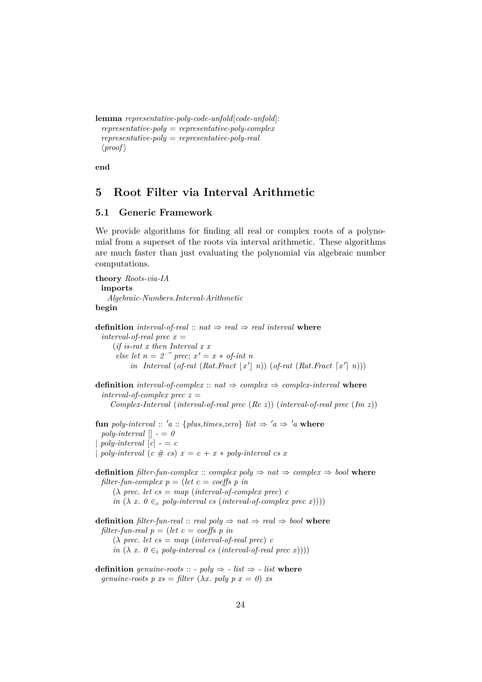```
lemma representative-poly-code-unfold[code-unfold]:
  representative-poly = representative-poly-complex
  representative-poly = representative-poly-real
  \langle proof \rangle
```
**end**

## <span id="page-23-0"></span>**5 Root Filter via Interval Arithmetic**

## <span id="page-23-1"></span>**5.1 Generic Framework**

We provide algorithms for finding all real or complex roots of a polynomial from a superset of the roots via interval arithmetic. These algorithms are much faster than just evaluating the polynomial via algebraic number computations.

```
theory Roots-via-IA
 imports
    Algebraic-Numbers.Interval-Arithmetic
begin
definition interval-of-real :: nat \Rightarrow real \Rightarrow real interval where
  interval-of-real \, prec \, x =(if is-rat x then Interval x x
       else let n = 2 \hat{p} prec; x' = x * of-int n
            in Interval (of-rat (Rat.Fract \lfloor x' \rfloor n)) (of-rat (Rat.Fract \lceil x' \rceil n)))
definition interval-of-complex :: nat \Rightarrow complex \Rightarrow complex-interval where
  interval-of-complex prec z =Complex-Interval (interval-of-real prec (Re z)) (interval-of-real prec (Im z))
fun poly-interval :: 'a :: {plus,times,zero} list \Rightarrow 'a \Rightarrow 'a where
  poly-interval \vert \vert - \vert = 0poly-interval [c] - c| poly-interval (c \# cs) x = c + x * poly-interval cs xdefinition filter-fun-complex :: complex poly \Rightarrow nat \Rightarrow complex \Rightarrow bool where
 filter-fun-complex p = (let c = coeffs p in
      (\lambda \text{ prec. } let \text{ cs} = \text{map} \text{ (interval-of-complex prec) } cin (\lambda x. 0 \in_c poly-interval cs (interval-of-complex prec x))))definition filter-fun-real :: real poly \Rightarrow nat \Rightarrow real \Rightarrow bool where
 filter-fun-real p = (let \ c = coeffs \ p \ in(\lambda \text{ prec.} \text{ let } \text{cs} = \text{map} \text{ (interval-of-real} \text{ prec}) \text{ c}in (\lambda x. 0 \in_i poly-interval cs (interval-of-real prec x))))definition genuine-roots :: - poly \Rightarrow - list \Rightarrow - list where
```
*genuine-roots*  $p$   $xs = filter (\lambda x. poly p x = 0)$   $xs$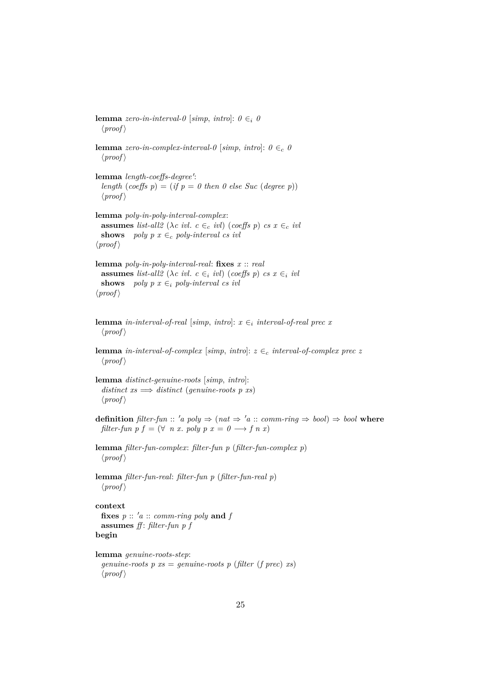**lemma** *zero-in-interval-0* [ $simp, intro$ ]:  $0 \in i$  *0*  $\langle proof \rangle$ 

**lemma** *zero-in-complex-interval-0* [ $simp$ ,  $intro$ ]:  $0 \in_c 0$  $\langle proof \rangle$ 

lemma *length-coeffs-degree'*: *length* (*coeffs*  $p$ ) = (*if*  $p = 0$  *then* 0 *else Suc* (*degree p*))  $\langle proof \rangle$ 

**lemma** *poly-in-poly-interval-complex*: **assumes** *list-all2* ( $\lambda c$  *ivl.*  $c \in_c ivl$ ) (*coeffs p*)  $cs \in_c ivl$ **shows** *poly p x* ∈<sub>c</sub> *poly-interval cs ivl*  $\langle proof \rangle$ 

**lemma** *poly-in-poly-interval-real*: **fixes** *x* :: *real* **assumes** *list-all2* ( $\lambda c$  *ivl.*  $c \in_i ivl$ ) (*coeffs p*) *cs x*  $\in_i ivl$ **shows** *poly p x*  $\in_i$  *poly-interval cs ivl*  $\langle proof \rangle$ 

**lemma** *in-interval-of-real* [*simp*, *intro*]:  $x \in$ <sub>*i*</sub> *interval-of-real prec x*  $\langle proof \rangle$ 

**lemma** *in-interval-of-complex* [*simp*, *intro*]:  $z \in_c$  *interval-of-complex prec z*  $\langle proof \rangle$ 

**lemma** *distinct-genuine-roots* [*simp*, *intro*]:  $distinct\;$   $xs \implies distinct\; (genuine-roots\; p\; xs)$  $\langle proof \rangle$ 

**definition**  $filter-fun :: 'a poly \Rightarrow (nat \Rightarrow 'a :: comm-ring \Rightarrow bool) \Rightarrow bool$  where *filter-fun p f* =  $(\forall n \ x. \ poly p \ x = 0 \rightarrow f n \ x)$ 

**lemma** *filter-fun-complex*: *filter-fun p* (*filter-fun-complex p*)  $\langle proof \rangle$ 

**lemma** *filter-fun-real*: *filter-fun p* (*filter-fun-real p*)  $\langle proof \rangle$ 

#### **context**

```
fixes p :: 'a :: comm-ring poly and fassumes ff : filter-fun p f
begin
```

```
lemma genuine-roots-step:
 genuine-roots p xs = genuine-roots p (filter (f prec) xs)
  \langle proof \rangle
```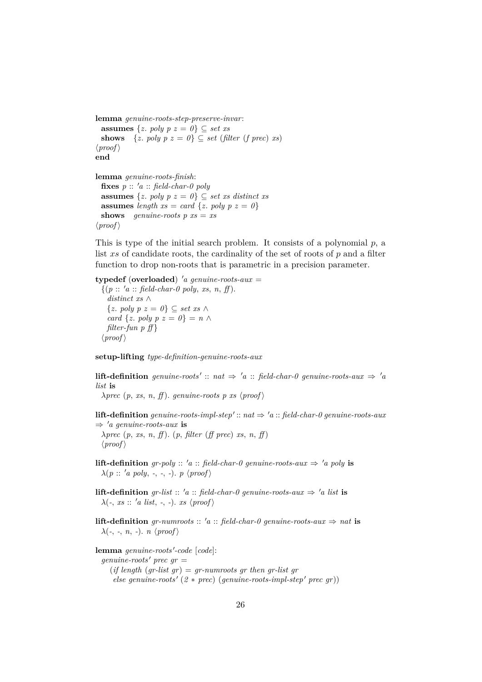**lemma** *genuine-roots-step-preserve-invar*: **assumes**  $\{z. \text{poly } p \ z = 0\} \subseteq \text{set } xs$ **shows**  $\{z. \text{poly } p \text{ } z = 0\} \subseteq \text{set}$  (*filter* (*f prec*) *xs*)  $\langle proof \rangle$ **end lemma** *genuine-roots-finish*: **fixes**  $p :: 'a :: field-char-0 poly$ 

**assumes**  $\{z. \text{poly } p \ z = 0\} \subseteq \text{set } xs \text{ distinct } xs$ **assumes** *length*  $xs = card \{z, poly p z = 0\}$ **shows** *genuine-roots*  $p$   $xs = xs$  $\langle proof \rangle$ 

This is type of the initial search problem. It consists of a polynomial  $p$ , a list xs of candidate roots, the cardinality of the set of roots of p and a filter function to drop non-roots that is parametric in a precision parameter.

**typedef** (**overloaded**) <sup>0</sup>*a genuine-roots-aux* =  $\{(p :: 'a :: \text{field-char-0 poly}, xs, n, ff)\}.$ *distinct xs* ∧ {*z*. *poly p z* = *0*} ⊆ *set xs* ∧ *card* { $z$ *. poly p z = 0*} =  $n \wedge$ *filter-fun p ff* }  $\langle proof \rangle$ 

**setup-lifting** *type-definition-genuine-roots-aux*

**lift-definition** genuine-roots' :: nat  $\Rightarrow$  'a :: field-char-0 genuine-roots-aux  $\Rightarrow$  'a *list* **is**

 $\lambda$ *prec*  $(p, xs, n, ff)$ . *genuine-roots p xs*  $\langle proof \rangle$ 

**lift-definition** genuine-roots-impl-step':: nat  $\Rightarrow$  'a :: field-char-0 genuine-roots-aux  $\Rightarrow 'a$  genuine-roots-aux is

λ*prec* (*p*, *xs*, *n*, *ff* ). (*p*, *filter* (*ff prec*) *xs*, *n*, *ff* )  $\langle proof \rangle$ 

- **lift-definition** *gr-poly* :: '*a* :: *field-char-0 genuine-roots-aux*  $\Rightarrow$  '*a poly* **is**  $\lambda(p:: 'a poly, -, -, -). p \langle proof \rangle$
- **lift-definition** *gr-list* :: '*a* :: *field-char-0 genuine-roots-aux*  $\Rightarrow$  '*a list* **is**  $\lambda(\text{-}, \text{xs} :: 'a \text{ list}, \text{-}, \text{-}). \text{ xs } \langle \text{proof} \rangle$

**lift-definition** *gr-numroots* ::  $'a$  :: *field-char-0 genuine-roots-aux*  $\Rightarrow$  *nat* **is**  $\lambda$ (-, -, *n*, -). *n*  $\langle proof \rangle$ 

 ${\bf lemma}$  *genuine-roots'-code* [*code*]: *genuine-roots'* prec  $qr =$  $(if length (gr-list gr) = gr-numroots gr then gr-list gr$  $else$  *genuine-roots'*  $(2 * prec)$  (*genuine-roots-impl-step'* prec gr))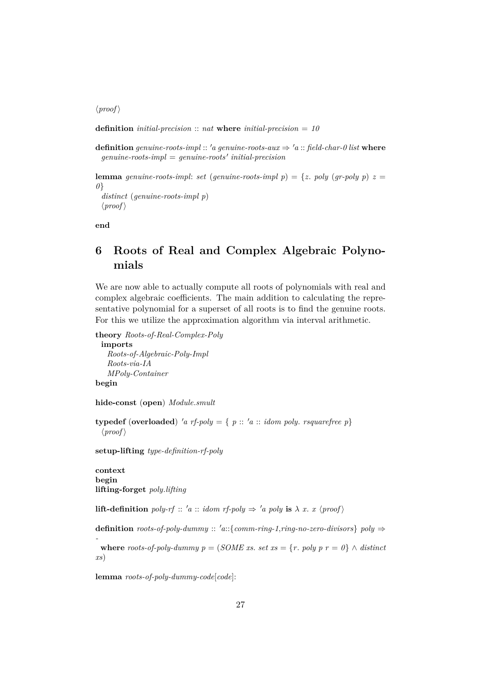$\langle proof \rangle$ 

**definition** *initial-precision* :: *nat* **where** *initial-precision* = *10*

**definition** *genuine-roots-impl* :: '*a genuine-roots-aux*  $\Rightarrow$  '*a* :: *field-char-0 list* **where** *genuine-roots-impl* = *genuine-roots' initial-precision* 

**lemma** *genuine-roots-impl: set* (*genuine-roots-impl p*) = {*z*. *poly* (*gr-poly p*)  $z =$ *0*} *distinct* (*genuine-roots-impl p*)  $\langle proof \rangle$ 

**end**

# <span id="page-26-0"></span>**6 Roots of Real and Complex Algebraic Polynomials**

We are now able to actually compute all roots of polynomials with real and complex algebraic coefficients. The main addition to calculating the representative polynomial for a superset of all roots is to find the genuine roots. For this we utilize the approximation algorithm via interval arithmetic.

**theory** *Roots-of-Real-Complex-Poly* **imports** *Roots-of-Algebraic-Poly-Impl*

*Roots-via-IA MPoly-Container* **begin**

**hide-const** (**open**) *Module*.*smult*

**typedef** (**overloaded**) 'a rf-poly = {  $p$  :: 'a :: *idom poly. rsquarefree p*}  $\langle proof \rangle$ 

**setup-lifting** *type-definition-rf-poly*

**context begin lifting-forget** *poly*.*lifting*

*-*

**lift-definition** *poly-rf* :: '*a* :: *idom rf-poly*  $\Rightarrow$  '*a poly* **is**  $\lambda$  *x*. *x* \*proof* \name

**definition** *roots-of-poly-dummy* :: '*a*::{*comm-ring-1,ring-no-zero-divisors*} *poly*  $\Rightarrow$ 

**where** *roots-of-poly-dummy*  $p = (SOME \, xs. \, set \, xs = \{r. \, poly \, p \, r = 0\} \land distinct$ *xs*)

**lemma** *roots-of-poly-dummy-code*[*code*]: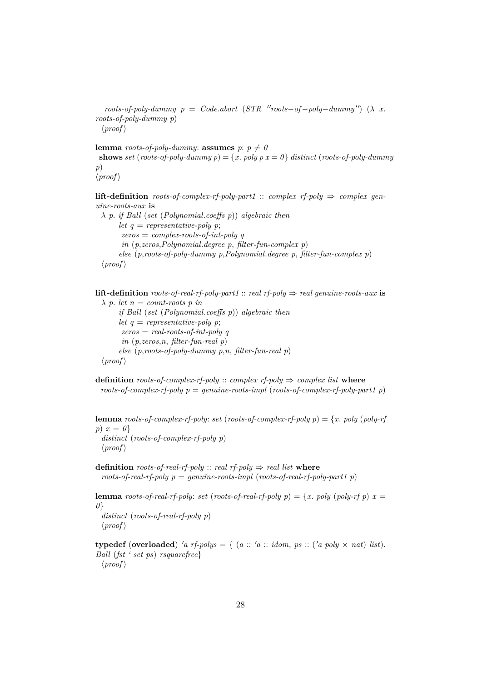$roots-of-poly-dummy \quad p \quad = \quad Code. abort \quad (STR \quad "roots-of-poly-dummy") \quad (\lambda \quad x.$ *roots-of-poly-dummy p*)  $\langle proof \rangle$ 

**lemma** *roots-of-poly-dummy*: **assumes**  $p: p \neq 0$ **shows** *set* (*roots-of-poly-dummy p*) = {*x*. *poly p x* =  $0$ } *distinct* (*roots-of-poly-dummy p*)  $\langle proof \rangle$ 

**lift-definition** *roots-of-complex-rf-poly-part1* :: *complex rf-poly*  $\Rightarrow$  *complex genuine-roots-aux* **is**

λ *p*. *if Ball* (*set* (*Polynomial*.*coeffs p*)) *algebraic then let*  $q$  = *representative-poly p*; *zeros* = *complex-roots-of-int-poly q in* (*p*,*zeros*,*Polynomial*.*degree p*, *filter-fun-complex p*) *else* (*p*,*roots-of-poly-dummy p*,*Polynomial*.*degree p*, *filter-fun-complex p*)  $\langle proof \rangle$ 

**lift-definition** *roots-of-real-rf-poly-part1* :: *real rf-poly*  $\Rightarrow$  *real genuine-roots-aux* **is**  $\lambda$  *p. let*  $n =$  *count-roots p in if Ball* (*set* (*Polynomial*.*coeffs p*)) *algebraic then let*  $q$  = *representative-poly p*; *zeros* = *real-roots-of-int-poly q in* (*p*,*zeros*,*n*, *filter-fun-real p*) *else* (*p*,*roots-of-poly-dummy p*,*n*, *filter-fun-real p*)  $\langle proof \rangle$ 

**definition** *roots-of-complex-rf-poly* :: *complex rf-poly*  $\Rightarrow$  *complex list* **where** *roots-of-complex-rf-poly p* = *genuine-roots-impl* (*roots-of-complex-rf-poly-part1 p*)

**lemma** *roots-of-complex-rf-poly: set* (*roots-of-complex-rf-poly p*) = {*x*. *poly* (*poly-rf*) *p*) *x* = *0*} *distinct* (*roots-of-complex-rf-poly p*)  $\langle proof \rangle$ 

**definition** *roots-of-real-rf-poly* :: *real rf-poly*  $\Rightarrow$  *real list* **where** *roots-of-real-rf-poly p* = *genuine-roots-impl* (*roots-of-real-rf-poly-part1 p*)

**lemma** *roots-of-real-rf-poly: set* (*roots-of-real-rf-poly*  $p$ ) = {*x*. *poly* (*poly-rf*  $p$ )  $x =$ *0*} *distinct* (*roots-of-real-rf-poly p*)  $\langle proof \rangle$ 

**typedef** (**overloaded**) 'a rf-polys = { (a :: 'a :: *idom, ps* :: ('a poly  $\times$  *nat*) *list*). *Ball* (*fst ' set ps*) *rsquarefree*}  $\langle proof \rangle$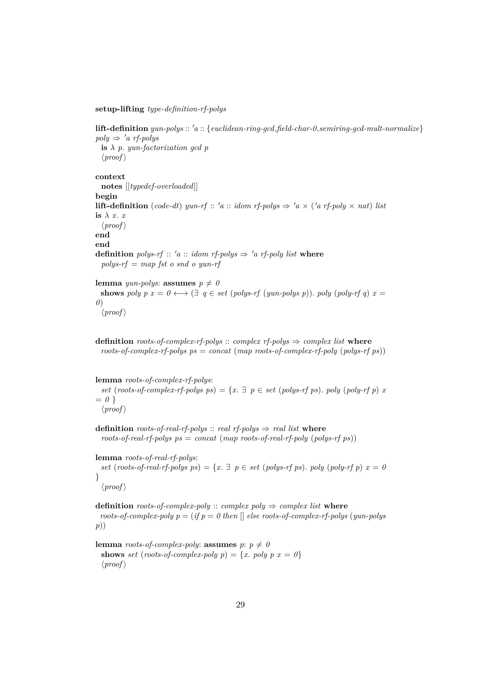**setup-lifting** *type-definition-rf-polys*

**lift-definition** *yun-polys* :: <sup>0</sup>*a* :: {*euclidean-ring-gcd*,*field-char-0*,*semiring-gcd-mult-normalize*}  $poly \Rightarrow 'a$  *rf-polys* **is** λ *p*. *yun-factorization gcd p*  $\langle proof \rangle$ **context notes** [[*typedef-overloaded*]] **begin lift-definition** (*code-dt*) *yun-rf* :: '*a* :: *idom rf-polys*  $\Rightarrow$  '*a*  $\times$  ('*a rf-poly*  $\times$  *nat*) *list* is  $\lambda$  *x*. *x*  $\langle proof \rangle$ **end end definition** *polys-rf* ::  $'a$  :: *idom rf-polys*  $\Rightarrow$   $'a$  *rf-poly list* where *polys-rf* = *map fst o snd o yun-rf*

**lemma** *yun-polys*: **assumes**  $p \neq 0$ **shows** *poly*  $p x = 0 \leftrightarrow (\exists q \in set (polys-rf (yun-polys p))$ . *poly*  $(poly-rf q) x =$ *0*)  $\langle proof \rangle$ 

**definition** *roots-of-complex-rf-polys* :: *complex rf-polys*  $\Rightarrow$  *complex list* **where** *roots-of-complex-rf-polys ps* = *concat* (*map roots-of-complex-rf-poly* (*polys-rf ps*))

**lemma** *roots-of-complex-rf-polys*:

*set* (*roots-of-complex-rf-polys ps*) = { $x \in \mathbb{R}$  *p*  $\in$  *set* (*polys-rf ps*). *poly* (*poly-rf p*) *x*  $= 0$ }  $\langle proof \rangle$ 

**definition** *roots-of-real-rf-polys* :: *real rf-polys* ⇒ *real list* **where** *roots-of-real-rf-polys ps* = *concat* (*map roots-of-real-rf-poly* (*polys-rf ps*))

**lemma** *roots-of-real-rf-polys*: *set* (*roots-of-real-rf-polys ps*) =  $\{x, \exists p \in set (polys-rf ps) \text{.} poly (poly-rf p) x = 0\}$ }  $\langle proof \rangle$ 

**definition** *roots-of-complex-poly* :: *complex poly*  $\Rightarrow$  *complex list* **where** *roots-of-complex-poly*  $p = (if \, p = 0 \, then \, \parallel \, else \, roots-of-complex-rf-polys \, (yun-polys$ *p*))

**lemma** *roots-of-complex-poly*: **assumes**  $p: p \neq 0$ **shows** *set* (*roots-of-complex-poly p*) = {*x*. *poly p*  $x = 0$ }  $\langle proof \rangle$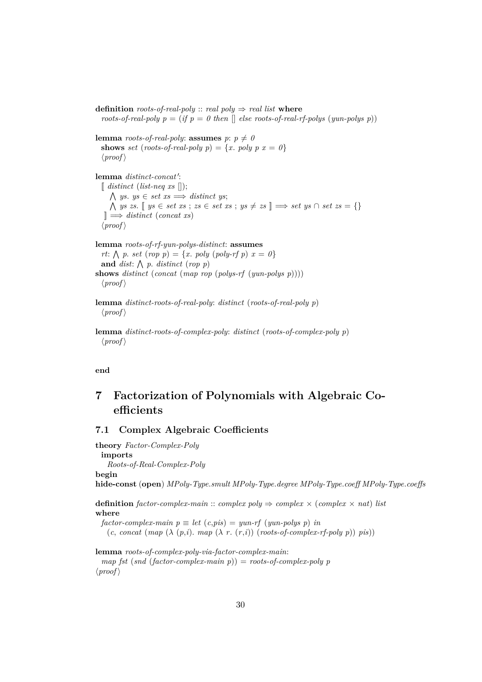**definition** *roots-of-real-poly* :: *real poly*  $\Rightarrow$  *real list* **where** *roots-of-real-poly p* = (*if p* = 0 then  $[$  *else roots-of-real-rf-polys* (*yun-polys p*))

**lemma** *roots-of-real-poly*: **assumes**  $p: p \neq 0$ **shows** *set* (*roots-of-real-poly p*) = {*x*. *poly p*  $x = 0$ }  $\langle proof \rangle$ 

lemma *distinct-concat'*:  $\left[$  *distinct* (*list-neq xs*  $\left[ \right)$ );  $\bigwedge$  *ys. ys*  $\in$  *set xs*  $\Longrightarrow$  *distinct ys*;  $\bigwedge$  *ys zs*. [[ *ys* ∈ *set xs* ; *zs* ∈ *set xs* ; *ys*  $\neq$  *zs* ]]  $\Rightarrow$  *set ys* ∩ *set zs* = {} ]] =⇒ *distinct* (*concat xs*)  $\langle proof \rangle$ 

**lemma** *roots-of-rf-yun-polys-distinct*: **assumes** *rt*:  $\bigwedge p$ . *set* (*rop p*) = {*x*. *poly* (*poly-rf p*) *x* = *0*} and *dist*:  $\bigwedge p$ . *distinct* (*rop p*) **shows** *distinct* (*concat* (*map rop* (*polys-rf* (*yun-polys p*))))  $\langle proof \rangle$ 

**lemma** *distinct-roots-of-real-poly*: *distinct* (*roots-of-real-poly p*)  $\langle proof \rangle$ 

**lemma** *distinct-roots-of-complex-poly*: *distinct* (*roots-of-complex-poly p*)  $\langle proof \rangle$ 

**end**

# <span id="page-29-0"></span>**7 Factorization of Polynomials with Algebraic Coefficients**

## <span id="page-29-1"></span>**7.1 Complex Algebraic Coefficients**

**theory** *Factor-Complex-Poly* **imports** *Roots-of-Real-Complex-Poly* **begin hide-const** (**open**) *MPoly-Type*.*smult MPoly-Type*.*degree MPoly-Type*.*coeff MPoly-Type*.*coeffs*

**definition** *factor-complex-main* :: *complex poly*  $\Rightarrow$  *complex*  $\times$  (*complex*  $\times$  *nat*) *list* **where**

 $factor$ -complex-main  $p \equiv let$   $(c, pis) = yun-rf$   $(yun-polys p)$  *in*  $(c, \text{concat}(\text{map}(\lambda(p,i), \text{map}(\lambda r, (r,i))(\text{roots-of-complex-rf-poly }p))\text{pis}))$ 

**lemma** *roots-of-complex-poly-via-factor-complex-main*: *map fst* (*snd* (*factor-complex-main p*)) = *roots-of-complex-poly p*  $\langle proof \rangle$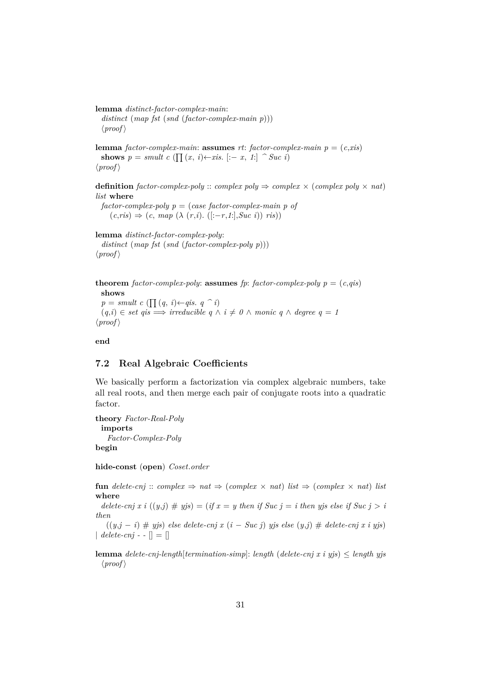**lemma** *distinct-factor-complex-main*: *distinct* (*map fst* (*snd* (*factor-complex-main p*)))  $\langle proof \rangle$ 

**lemma** *factor-complex-main*: **assumes** *rt*: *factor-complex-main*  $p = (c, xis)$ **shows**  $p = smult \ c \ (\prod(x, i) \leftarrow x \ s. \ [-x, 1] \ \ \textdegree \ \textcirclearrowright \textcirclearrowright \textcirclearrowright \textcirclearrowleft$  $\langle proof \rangle$ 

**definition** *factor-complex-poly* :: *complex poly*  $\Rightarrow$  *complex*  $\times$  (*complex poly*  $\times$  *nat*) *list* **where**

*factor-complex-poly p* = (*case factor-complex-main p of*  $(c, ris) \Rightarrow (c, map \ (\lambda \ (r,i). \ ([:-r,1:],\text{Suc } i)) \ ris))$ 

**lemma** *distinct-factor-complex-poly*: *distinct* (*map fst* (*snd* (*factor-complex-poly p*)))  $\langle proof \rangle$ 

```
theorem factor-complex-poly: assumes fp: factor-complex-poly p = (c, qis)shows
  p = smult \ c \ (\prod (q, i) \leftarrow qis. \ q \ \hat{\ } i)
```

```
(q,i) \in set \text{ qis} \implies irreducible \text{ } q \wedge i \neq 0 \wedge monic \text{ } q \wedge degree \text{ } q = 1\langle proof \rangle
```
**end**

#### <span id="page-30-0"></span>**7.2 Real Algebraic Coefficients**

We basically perform a factorization via complex algebraic numbers, take all real roots, and then merge each pair of conjugate roots into a quadratic factor.

**theory** *Factor-Real-Poly* **imports** *Factor-Complex-Poly* **begin**

**hide-const** (**open**) *Coset*.*order*

**fun** delete-cnj ::  $complex \Rightarrow nat \Rightarrow (complex \times nat)$  *list*  $\Rightarrow (complex \times nat)$  *list* **where**

*delete-cnj x i*  $((y, j) \# yjs) = (if x = y$  then if Suc  $j = i$  then yjs else if Suc  $j > i$ *then*

((*y*,*j* − *i*) # *yjs*) *else delete-cnj x* (*i* − *Suc j*) *yjs else* (*y*,*j*) # *delete-cnj x i yjs*)  $\|$  *delete-cnj* - -  $\|$  =  $\|$ 

**lemma** *delete-cnj-length*[*termination-simp*]: *length* (*delete-cnj x i yjs*) ≤ *length yjs*  $\langle proof \rangle$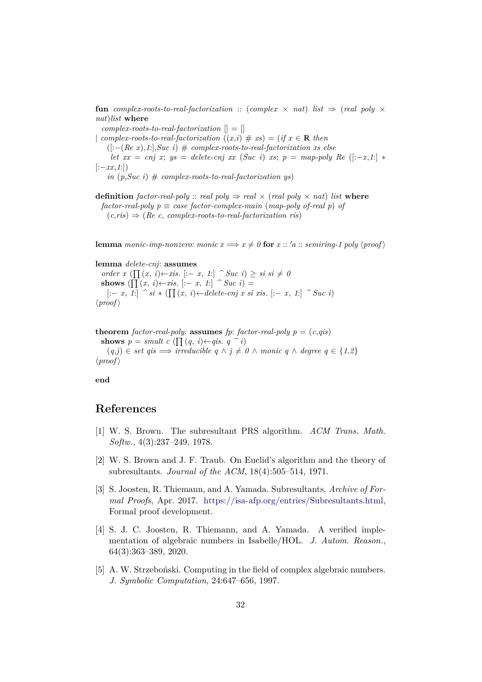**fun** *complex-roots-to-real-factorization* :: (*complex*  $\times$  *nat*) *list*  $\Rightarrow$  (*real poly*  $\times$ *nat*)*list* **where**  $complex\text{-}roots\text{-}to\text{-}real\text{-}factorization$   $[] = []$ | *complex-roots-to-real-factorization*  $((x,i) \# xs) = (if x \in \mathbb{R}$  then ([:−(*Re x*),*1*:],*Suc i*) # *complex-roots-to-real-factorization xs else let*  $xx = cnj$  *x*;  $ys = delete-cnj$  *xx* (*Suc i*) *xs*;  $p = map-poly$  *Re* ([:-*x*,*1*:] \*  $[-xx,1]$  $in$   $(p, \textit{Suc } i)$   $#$  *complex-roots-to-real-factorization ys*)

**definition** *factor-real-poly* :: *real poly*  $\Rightarrow$  *real*  $\times$  *(real poly*  $\times$  *nat*) *list* **where**  $factor$ *-real-poly*  $p \equiv case$   $factor$ *-complex-main*  $(map$ *-poly* of-real p) of  $(c, ris) \Rightarrow (Re \ c, complex-roots-to-real-factorization ris)$ 

**lemma** *monic-imp-nonzero: monic*  $x \Longrightarrow x \neq 0$  *for*  $x :: 'a :: semiring-1$  *poly*  $\langle proof \rangle$ 

#### **lemma** *delete-cnj*: **assumes**

*order x* ( $\prod (x, i)$ ← *xis*. [:− *x*, *1*:]  $\cap$  *Suc i*) ≥ *si si*  $\neq$  *0* **shows** ( $\prod (x, i) \leftarrow x$ *is*. [:− *x*, *1*:]  $\cap$  *Suc i*) = [:− *x*, *1*:] *^ si* ∗ ( Q (*x*, *i*)←*delete-cnj x si xis*. [:− *x*, *1*:] *^ Suc i*)  $\langle proof \rangle$ 

**theorem** *factor-real-poly*: **assumes** *fp*: *factor-real-poly*  $p = (c,qis)$ **shows**  $p = smult \ c \ (\prod (q, i) \leftarrow qis \ q \ \hat{\ } i)$  $(q,j) \in set \text{ qis} \implies irreducible \text{ } q \wedge j \neq 0 \wedge monic \text{ } q \wedge degree \text{ } q \in \{1,2\}$  $\langle proof \rangle$ 

**end**

## **References**

- <span id="page-31-2"></span>[1] W. S. Brown. The subresultant PRS algorithm. *ACM Trans. Math. Softw.*, 4(3):237–249, 1978.
- <span id="page-31-3"></span>[2] W. S. Brown and J. F. Traub. On Euclid's algorithm and the theory of subresultants. *Journal of the ACM*, 18(4):505–514, 1971.
- <span id="page-31-4"></span>[3] S. Joosten, R. Thiemann, and A. Yamada. Subresultants. *Archive of Formal Proofs*, Apr. 2017. [https://isa-afp.org/entries/Subresultants.html,](https://isa-afp.org/entries/Subresultants.html) Formal proof development.
- <span id="page-31-0"></span>[4] S. J. C. Joosten, R. Thiemann, and A. Yamada. A verified implementation of algebraic numbers in Isabelle/HOL. *J. Autom. Reason.*, 64(3):363–389, 2020.
- <span id="page-31-1"></span>[5] A. W. Strzeboński. Computing in the field of complex algebraic numbers. *J. Symbolic Computation*, 24:647–656, 1997.